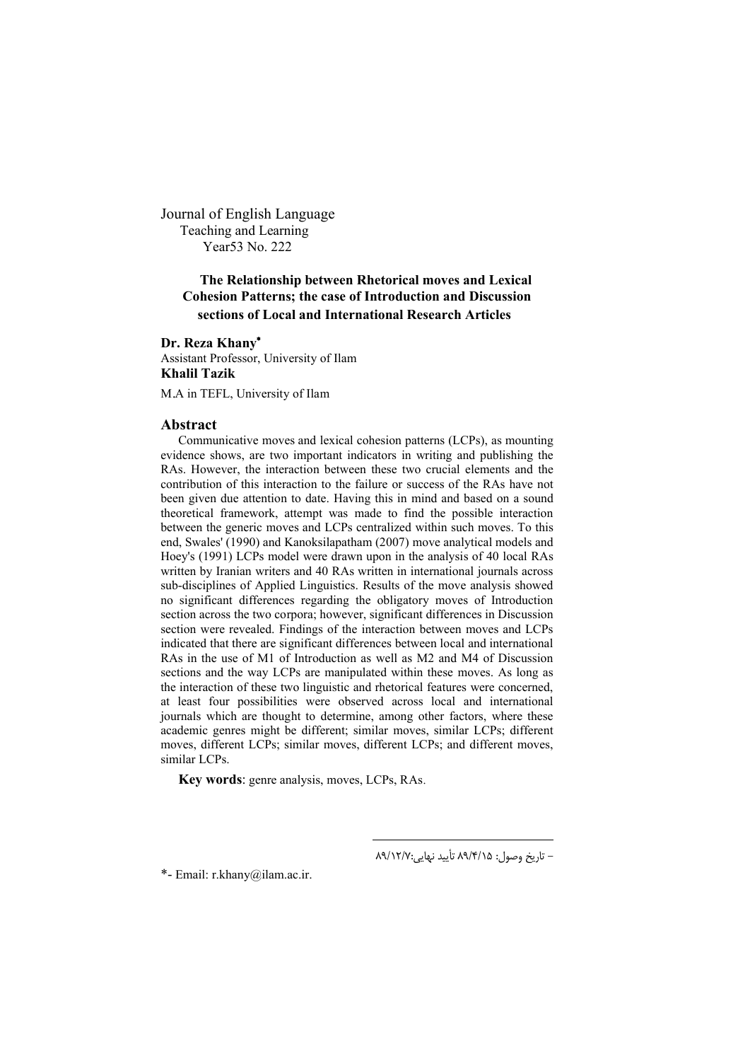Journal of English Language Teaching and Learning Year53 No. 222

# **The Relationship between Rhetorical moves and Lexical Cohesion Patterns; the case of Introduction and Discussion sections of Local and International Research Articles**

## **Dr. Reza Khany**

Assistant Professor, University of Ilam **Khalil Tazik**

M.A in TEFL, University of Ilam

## **Abstract**

Communicative moves and lexical cohesion patterns (LCPs), as mounting evidence shows, are two important indicators in writing and publishing the RAs. However, the interaction between these two crucial elements and the contribution of this interaction to the failure or success of the RAs have not been given due attention to date. Having this in mind and based on a sound theoretical framework, attempt was made to find the possible interaction between the generic moves and LCPs centralized within such moves. To this end, Swales' (1990) and Kanoksilapatham (2007) move analytical models and Hoey's (1991) LCPs model were drawn upon in the analysis of 40 local RAs written by Iranian writers and 40 RAs written in international journals across sub-disciplines of Applied Linguistics. Results of the move analysis showed no significant differences regarding the obligatory moves of Introduction section across the two corpora; however, significant differences in Discussion section were revealed. Findings of the interaction between moves and LCPs indicated that there are significant differences between local and international RAs in the use of M1 of Introduction as well as M2 and M4 of Discussion sections and the way LCPs are manipulated within these moves. As long as the interaction of these two linguistic and rhetorical features were concerned, at least four possibilities were observed across local and international journals which are thought to determine, among other factors, where these academic genres might be different; similar moves, similar LCPs; different moves, different LCPs; similar moves, different LCPs; and different moves, similar LCPs.

 $\overline{\phantom{a}}$ 

**Key words**: genre analysis, moves, LCPs, RAs.

- تاریخ وصول: 15 /4/ 89 تأیید نهایی :7/ 89/12

-\* Email: r.khany@ilam.ac.ir.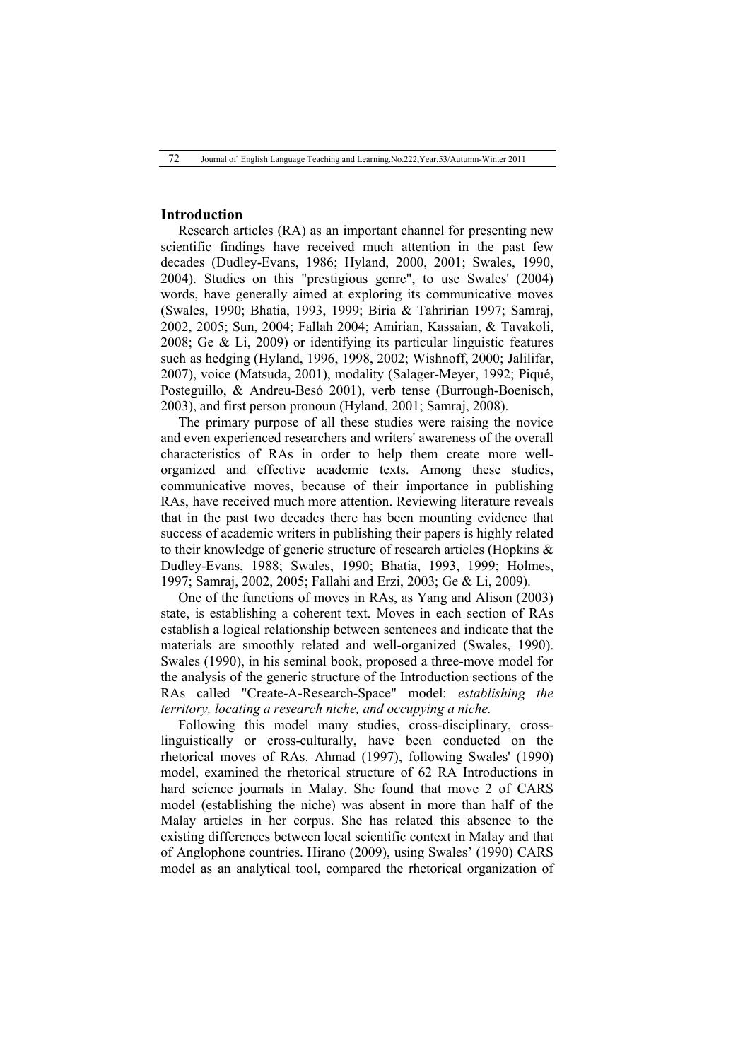# **Introduction**

Research articles (RA) as an important channel for presenting new scientific findings have received much attention in the past few decades (Dudley-Evans, 1986; Hyland, 2000, 2001; Swales, 1990, 2004). Studies on this "prestigious genre", to use Swales' (2004) words, have generally aimed at exploring its communicative moves (Swales, 1990; Bhatia, 1993, 1999; Biria & Tahririan 1997; Samraj, 2002, 2005; Sun, 2004; Fallah 2004; Amirian, Kassaian, & Tavakoli, 2008; Ge & Li, 2009) or identifying its particular linguistic features such as hedging (Hyland, 1996, 1998, 2002; Wishnoff, 2000; Jalilifar, 2007), voice (Matsuda, 2001), modality (Salager-Meyer, 1992; Piqué, Posteguillo, & Andreu-Besó 2001), verb tense (Burrough-Boenisch, 2003), and first person pronoun (Hyland, 2001; Samraj, 2008).

The primary purpose of all these studies were raising the novice and even experienced researchers and writers' awareness of the overall characteristics of RAs in order to help them create more wellorganized and effective academic texts. Among these studies, communicative moves, because of their importance in publishing RAs, have received much more attention. Reviewing literature reveals that in the past two decades there has been mounting evidence that success of academic writers in publishing their papers is highly related to their knowledge of generic structure of research articles (Hopkins & Dudley-Evans, 1988; Swales, 1990; Bhatia, 1993, 1999; Holmes, 1997; Samraj, 2002, 2005; Fallahi and Erzi, 2003; Ge & Li, 2009).

One of the functions of moves in RAs, as Yang and Alison (2003) state, is establishing a coherent text. Moves in each section of RAs establish a logical relationship between sentences and indicate that the materials are smoothly related and well-organized (Swales, 1990). Swales (1990), in his seminal book, proposed a three-move model for the analysis of the generic structure of the Introduction sections of the RAs called "Create-A-Research-Space" model: *establishing the territory, locating a research niche, and occupying a niche.*

Following this model many studies, cross-disciplinary, crosslinguistically or cross-culturally, have been conducted on the rhetorical moves of RAs. Ahmad (1997), following Swales' (1990) model, examined the rhetorical structure of 62 RA Introductions in hard science journals in Malay. She found that move 2 of CARS model (establishing the niche) was absent in more than half of the Malay articles in her corpus. She has related this absence to the existing differences between local scientific context in Malay and that of Anglophone countries. Hirano (2009), using Swales' (1990) CARS model as an analytical tool, compared the rhetorical organization of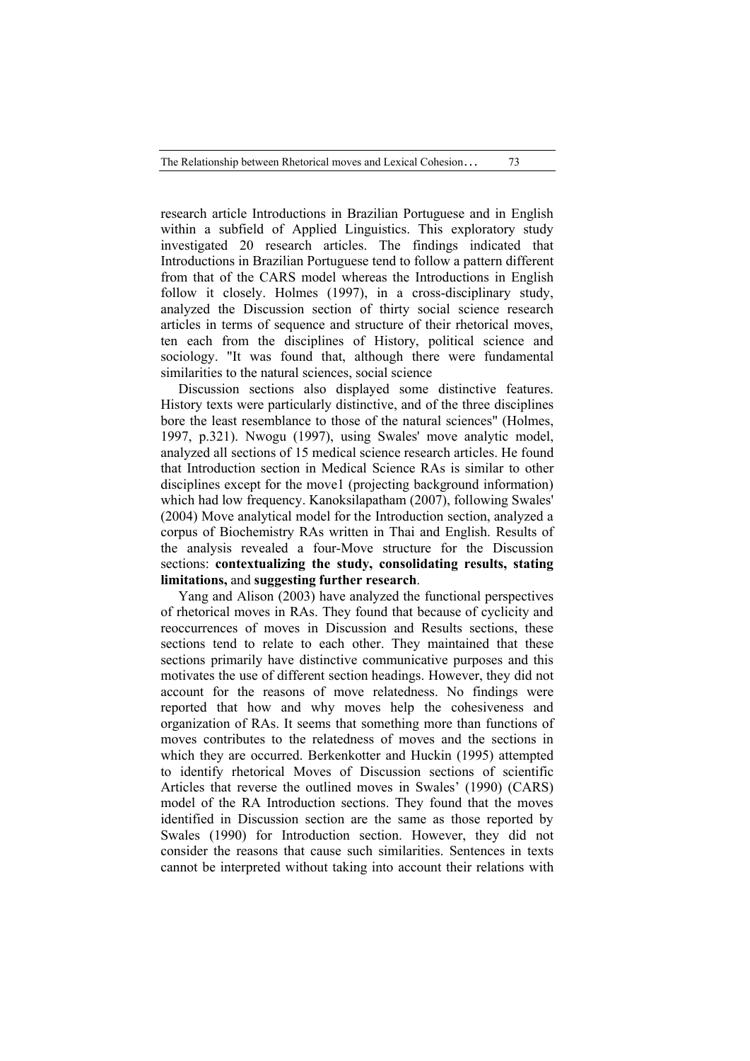The Relationship between Rhetorical moves and Lexical Cohesion… 73

research article Introductions in Brazilian Portuguese and in English within a subfield of Applied Linguistics. This exploratory study investigated 20 research articles. The findings indicated that Introductions in Brazilian Portuguese tend to follow a pattern different from that of the CARS model whereas the Introductions in English follow it closely. Holmes (1997), in a cross-disciplinary study, analyzed the Discussion section of thirty social science research articles in terms of sequence and structure of their rhetorical moves, ten each from the disciplines of History, political science and sociology. "It was found that, although there were fundamental similarities to the natural sciences, social science

Discussion sections also displayed some distinctive features. History texts were particularly distinctive, and of the three disciplines bore the least resemblance to those of the natural sciences" (Holmes, 1997, p.321). Nwogu (1997), using Swales' move analytic model, analyzed all sections of 15 medical science research articles. He found that Introduction section in Medical Science RAs is similar to other disciplines except for the move1 (projecting background information) which had low frequency. Kanoksilapatham (2007), following Swales' (2004) Move analytical model for the Introduction section, analyzed a corpus of Biochemistry RAs written in Thai and English. Results of the analysis revealed a four-Move structure for the Discussion sections: **contextualizing the study, consolidating results, stating limitations,** and **suggesting further research**.

Yang and Alison (2003) have analyzed the functional perspectives of rhetorical moves in RAs. They found that because of cyclicity and reoccurrences of moves in Discussion and Results sections, these sections tend to relate to each other. They maintained that these sections primarily have distinctive communicative purposes and this motivates the use of different section headings. However, they did not account for the reasons of move relatedness. No findings were reported that how and why moves help the cohesiveness and organization of RAs. It seems that something more than functions of moves contributes to the relatedness of moves and the sections in which they are occurred. Berkenkotter and Huckin (1995) attempted to identify rhetorical Moves of Discussion sections of scientific Articles that reverse the outlined moves in Swales' (1990) (CARS) model of the RA Introduction sections. They found that the moves identified in Discussion section are the same as those reported by Swales (1990) for Introduction section. However, they did not consider the reasons that cause such similarities. Sentences in texts cannot be interpreted without taking into account their relations with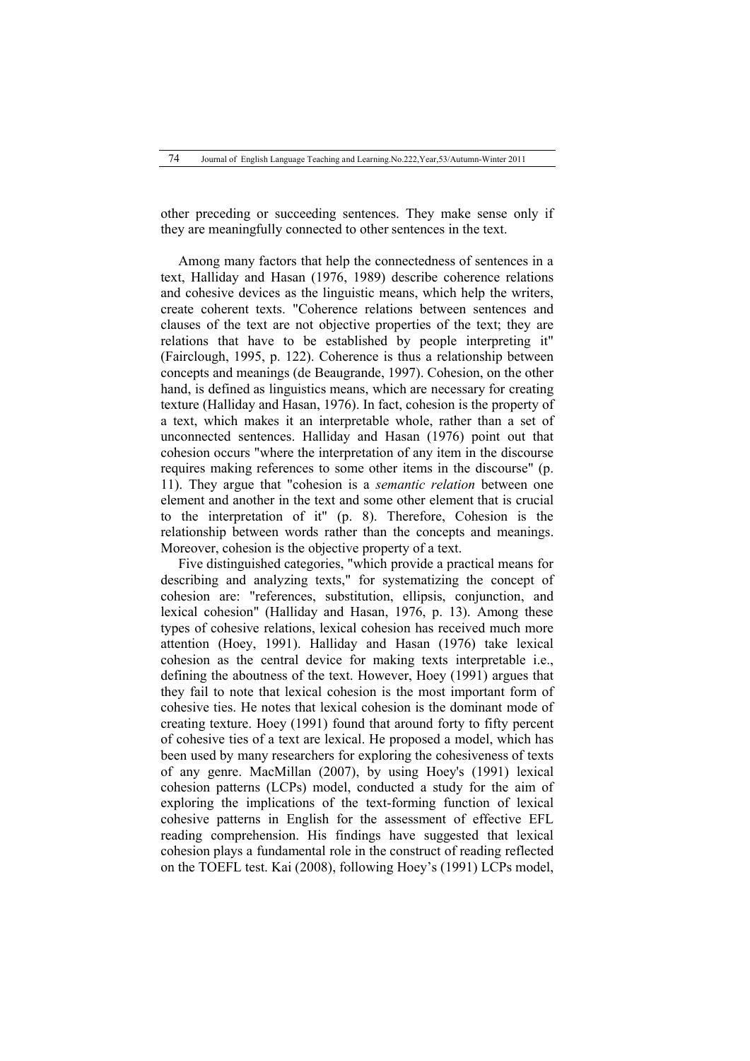other preceding or succeeding sentences. They make sense only if they are meaningfully connected to other sentences in the text.

Among many factors that help the connectedness of sentences in a text, Halliday and Hasan (1976, 1989) describe coherence relations and cohesive devices as the linguistic means, which help the writers, create coherent texts. "Coherence relations between sentences and clauses of the text are not objective properties of the text; they are relations that have to be established by people interpreting it" (Fairclough, 1995, p. 122). Coherence is thus a relationship between concepts and meanings (de Beaugrande, 1997). Cohesion, on the other hand, is defined as linguistics means, which are necessary for creating texture (Halliday and Hasan, 1976). In fact, cohesion is the property of a text, which makes it an interpretable whole, rather than a set of unconnected sentences. Halliday and Hasan (1976) point out that cohesion occurs "where the interpretation of any item in the discourse requires making references to some other items in the discourse" (p. 11). They argue that "cohesion is a *semantic relation* between one element and another in the text and some other element that is crucial to the interpretation of it" (p. 8). Therefore, Cohesion is the relationship between words rather than the concepts and meanings. Moreover, cohesion is the objective property of a text.

Five distinguished categories, "which provide a practical means for describing and analyzing texts," for systematizing the concept of cohesion are: "references, substitution, ellipsis, conjunction, and lexical cohesion" (Halliday and Hasan, 1976, p. 13). Among these types of cohesive relations, lexical cohesion has received much more attention (Hoey, 1991). Halliday and Hasan (1976) take lexical cohesion as the central device for making texts interpretable i.e., defining the aboutness of the text. However, Hoey (1991) argues that they fail to note that lexical cohesion is the most important form of cohesive ties. He notes that lexical cohesion is the dominant mode of creating texture. Hoey (1991) found that around forty to fifty percent of cohesive ties of a text are lexical. He proposed a model, which has been used by many researchers for exploring the cohesiveness of texts of any genre. MacMillan (2007), by using Hoey's (1991) lexical cohesion patterns (LCPs) model, conducted a study for the aim of exploring the implications of the text-forming function of lexical cohesive patterns in English for the assessment of effective EFL reading comprehension. His findings have suggested that lexical cohesion plays a fundamental role in the construct of reading reflected on the TOEFL test. Kai (2008), following Hoey's (1991) LCPs model,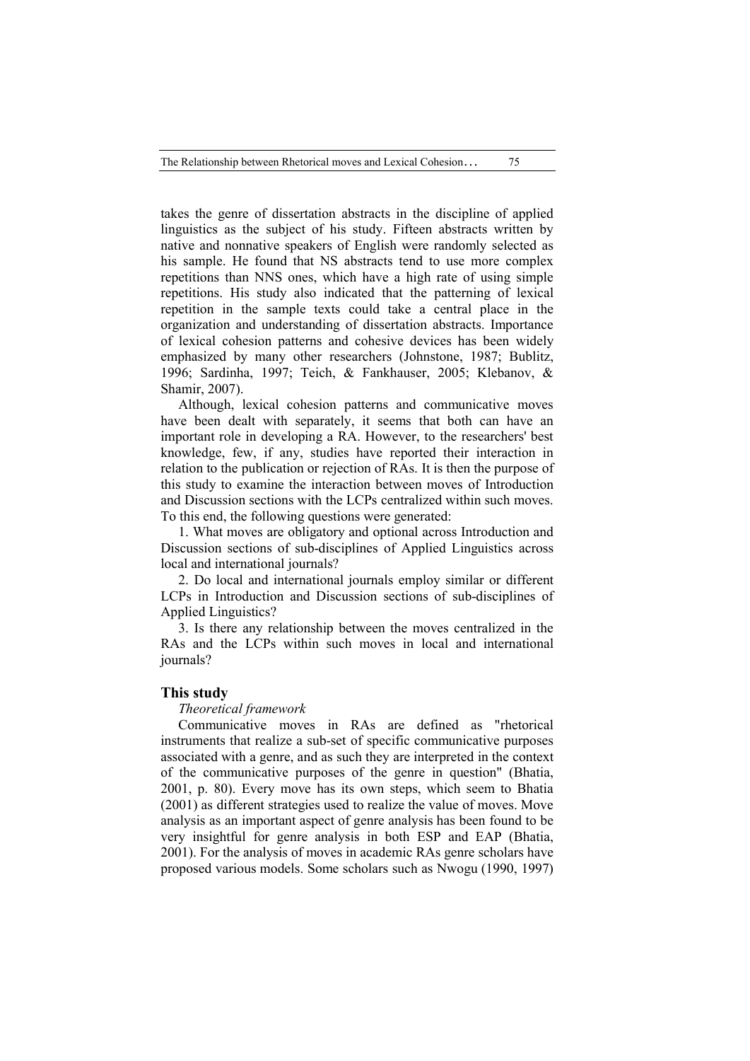The Relationship between Rhetorical moves and Lexical Cohesion… 75

takes the genre of dissertation abstracts in the discipline of applied linguistics as the subject of his study. Fifteen abstracts written by native and nonnative speakers of English were randomly selected as his sample. He found that NS abstracts tend to use more complex repetitions than NNS ones, which have a high rate of using simple repetitions. His study also indicated that the patterning of lexical repetition in the sample texts could take a central place in the organization and understanding of dissertation abstracts. Importance of lexical cohesion patterns and cohesive devices has been widely emphasized by many other researchers (Johnstone, 1987; Bublitz, 1996; Sardinha, 1997; Teich, & Fankhauser, 2005; Klebanov, & Shamir, 2007).

Although, lexical cohesion patterns and communicative moves have been dealt with separately, it seems that both can have an important role in developing a RA. However, to the researchers' best knowledge, few, if any, studies have reported their interaction in relation to the publication or rejection of RAs. It is then the purpose of this study to examine the interaction between moves of Introduction and Discussion sections with the LCPs centralized within such moves. To this end, the following questions were generated:

1. What moves are obligatory and optional across Introduction and Discussion sections of sub-disciplines of Applied Linguistics across local and international journals?

2. Do local and international journals employ similar or different LCPs in Introduction and Discussion sections of sub-disciplines of Applied Linguistics?

3. Is there any relationship between the moves centralized in the RAs and the LCPs within such moves in local and international journals?

#### **This study**

## *Theoretical framework*

Communicative moves in RAs are defined as "rhetorical instruments that realize a sub-set of specific communicative purposes associated with a genre, and as such they are interpreted in the context of the communicative purposes of the genre in question" (Bhatia, 2001, p. 80). Every move has its own steps, which seem to Bhatia (2001) as different strategies used to realize the value of moves. Move analysis as an important aspect of genre analysis has been found to be very insightful for genre analysis in both ESP and EAP (Bhatia, 2001). For the analysis of moves in academic RAs genre scholars have proposed various models. Some scholars such as Nwogu (1990, 1997)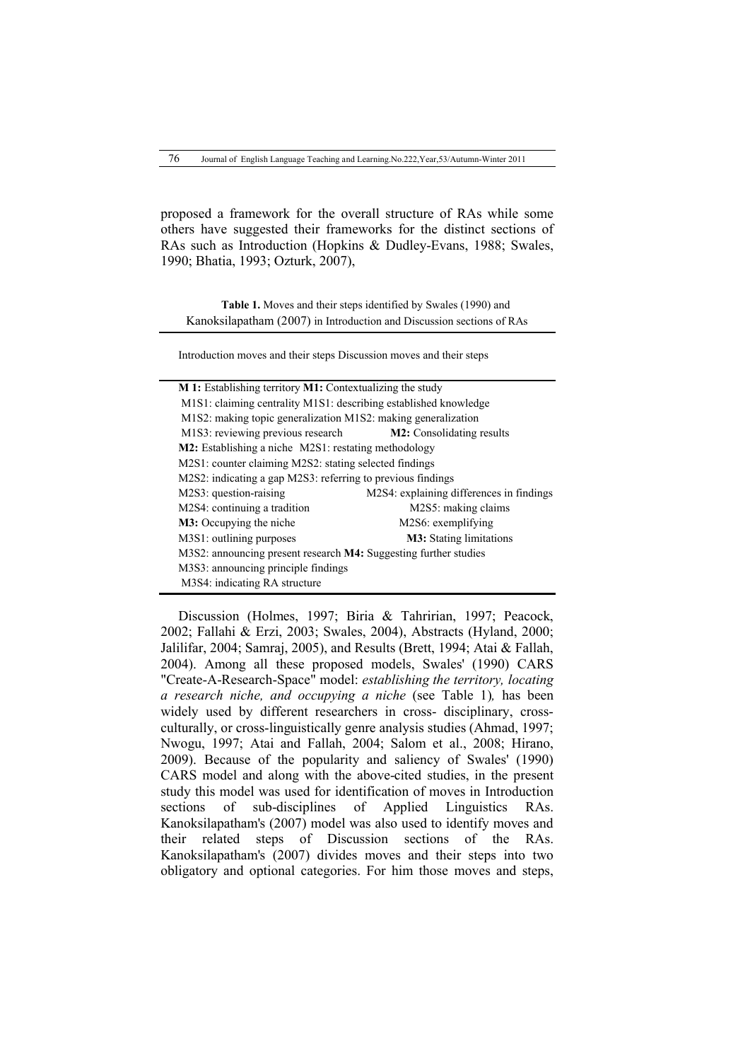proposed a framework for the overall structure of RAs while some others have suggested their frameworks for the distinct sections of RAs such as Introduction (Hopkins & Dudley-Evans, 1988; Swales, 1990; Bhatia, 1993; Ozturk, 2007),

**Table 1.** Moves and their steps identified by Swales (1990) and Kanoksilapatham (2007) in Introduction and Discussion sections of RAs

Introduction moves and their steps Discussion moves and their steps

| M 1: Establishing territory M1: Contextualizing the study                |                                          |  |  |  |  |  |  |  |  |  |  |  |
|--------------------------------------------------------------------------|------------------------------------------|--|--|--|--|--|--|--|--|--|--|--|
| M1S1: claiming centrality M1S1: describing established knowledge         |                                          |  |  |  |  |  |  |  |  |  |  |  |
| M1S2: making topic generalization M1S2: making generalization            |                                          |  |  |  |  |  |  |  |  |  |  |  |
| M1S3: reviewing previous research                                        | <b>M2</b> : Consolidating results        |  |  |  |  |  |  |  |  |  |  |  |
| <b>M2</b> : Establishing a niche M2S1: restating methodology             |                                          |  |  |  |  |  |  |  |  |  |  |  |
| M2S1: counter claiming M2S2: stating selected findings                   |                                          |  |  |  |  |  |  |  |  |  |  |  |
| M2S2: indicating a gap M2S3: referring to previous findings              |                                          |  |  |  |  |  |  |  |  |  |  |  |
| M2S3: question-raising                                                   | M2S4: explaining differences in findings |  |  |  |  |  |  |  |  |  |  |  |
| M2S4: continuing a tradition                                             | M2S5: making claims                      |  |  |  |  |  |  |  |  |  |  |  |
| <b>M3:</b> Occupying the niche                                           | M2S6: exemplifying                       |  |  |  |  |  |  |  |  |  |  |  |
| M3S1: outlining purposes                                                 | <b>M3</b> : Stating limitations          |  |  |  |  |  |  |  |  |  |  |  |
| M3S2: announcing present research <b>M4</b> : Suggesting further studies |                                          |  |  |  |  |  |  |  |  |  |  |  |
| M3S3: announcing principle findings                                      |                                          |  |  |  |  |  |  |  |  |  |  |  |
| M3S4: indicating RA structure                                            |                                          |  |  |  |  |  |  |  |  |  |  |  |
|                                                                          |                                          |  |  |  |  |  |  |  |  |  |  |  |

Discussion (Holmes, 1997; Biria & Tahririan, 1997; Peacock, 2002; Fallahi & Erzi, 2003; Swales, 2004), Abstracts (Hyland, 2000; Jalilifar, 2004; Samraj, 2005), and Results (Brett, 1994; Atai & Fallah, 2004). Among all these proposed models, Swales' (1990) CARS "Create-A-Research-Space" model: *establishing the territory, locating a research niche, and occupying a niche* (see Table 1)*,* has been widely used by different researchers in cross- disciplinary, crossculturally, or cross-linguistically genre analysis studies (Ahmad, 1997; Nwogu, 1997; Atai and Fallah, 2004; Salom et al., 2008; Hirano, 2009). Because of the popularity and saliency of Swales' (1990) CARS model and along with the above-cited studies, in the present study this model was used for identification of moves in Introduction sections of sub-disciplines of Applied Linguistics RAs. Kanoksilapatham's (2007) model was also used to identify moves and their related steps of Discussion sections of the RAs. Kanoksilapatham's (2007) divides moves and their steps into two obligatory and optional categories. For him those moves and steps,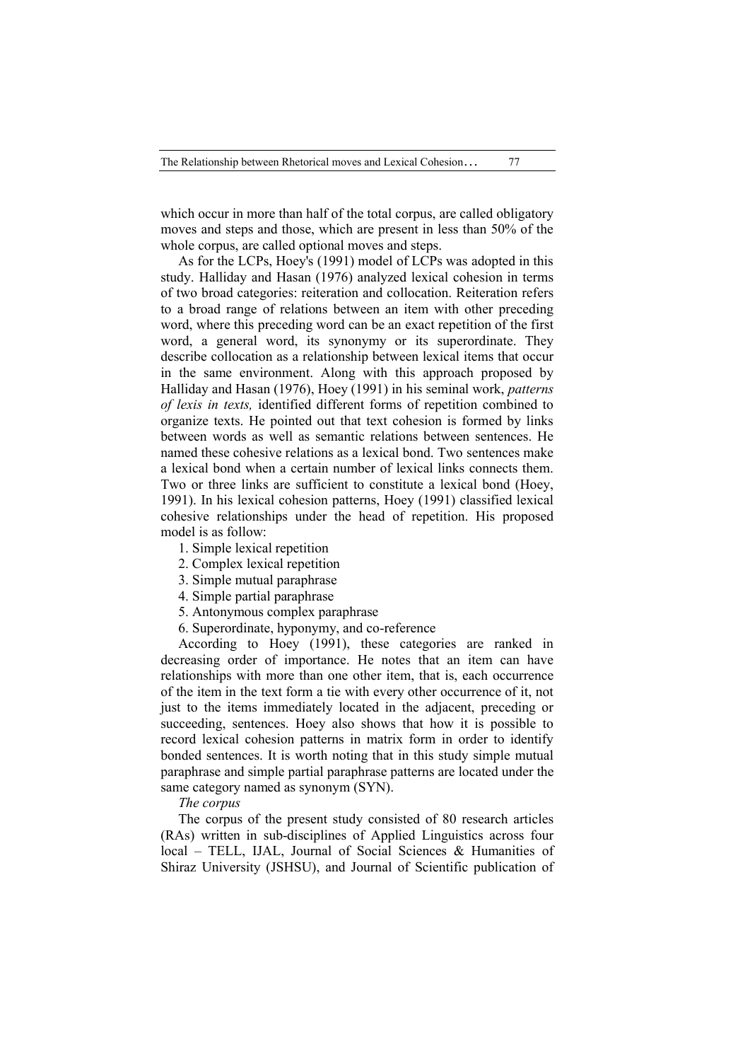which occur in more than half of the total corpus, are called obligatory moves and steps and those, which are present in less than 50% of the whole corpus, are called optional moves and steps.

As for the LCPs, Hoey's (1991) model of LCPs was adopted in this study. Halliday and Hasan (1976) analyzed lexical cohesion in terms of two broad categories: reiteration and collocation. Reiteration refers to a broad range of relations between an item with other preceding word, where this preceding word can be an exact repetition of the first word, a general word, its synonymy or its superordinate. They describe collocation as a relationship between lexical items that occur in the same environment. Along with this approach proposed by Halliday and Hasan (1976), Hoey (1991) in his seminal work, *patterns of lexis in texts,* identified different forms of repetition combined to organize texts. He pointed out that text cohesion is formed by links between words as well as semantic relations between sentences. He named these cohesive relations as a lexical bond. Two sentences make a lexical bond when a certain number of lexical links connects them. Two or three links are sufficient to constitute a lexical bond (Hoey, 1991). In his lexical cohesion patterns, Hoey (1991) classified lexical cohesive relationships under the head of repetition. His proposed model is as follow:

- 1. Simple lexical repetition
- 2. Complex lexical repetition
- 3. Simple mutual paraphrase
- 4. Simple partial paraphrase
- 5. Antonymous complex paraphrase
- 6. Superordinate, hyponymy, and co-reference

According to Hoey (1991), these categories are ranked in decreasing order of importance. He notes that an item can have relationships with more than one other item, that is, each occurrence of the item in the text form a tie with every other occurrence of it, not just to the items immediately located in the adjacent, preceding or succeeding, sentences. Hoey also shows that how it is possible to record lexical cohesion patterns in matrix form in order to identify bonded sentences. It is worth noting that in this study simple mutual paraphrase and simple partial paraphrase patterns are located under the same category named as synonym (SYN).

#### *The corpus*

The corpus of the present study consisted of 80 research articles (RAs) written in sub-disciplines of Applied Linguistics across four local – TELL, IJAL, Journal of Social Sciences & Humanities of Shiraz University (JSHSU), and Journal of Scientific publication of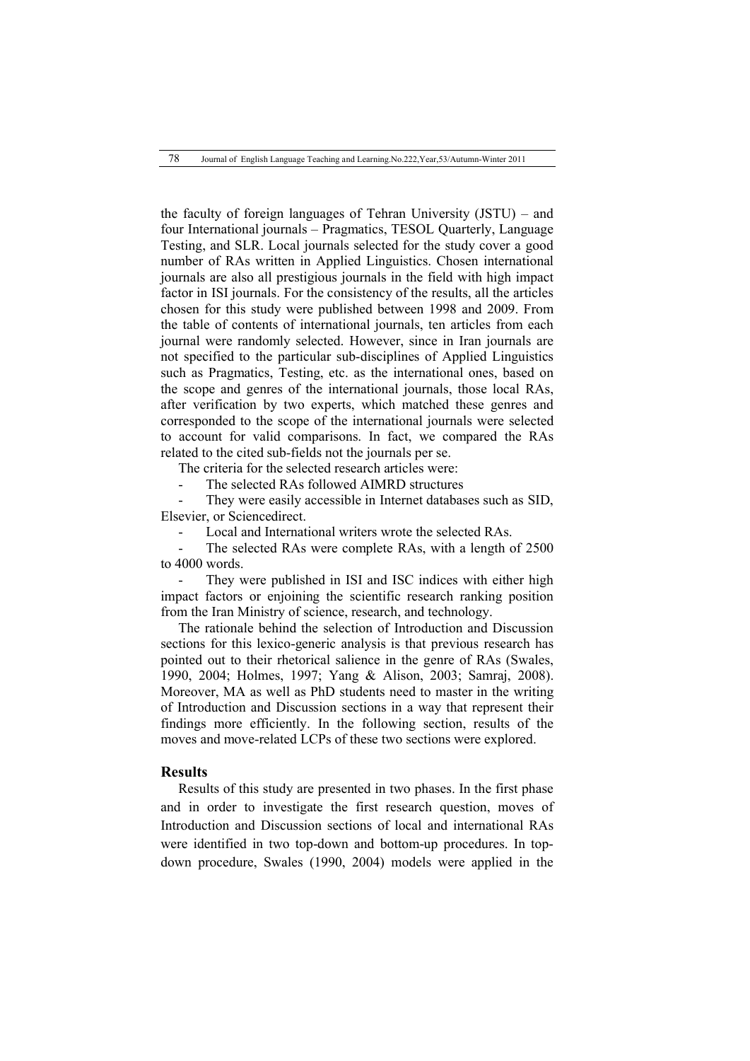the faculty of foreign languages of Tehran University (JSTU) – and four International journals – Pragmatics, TESOL Quarterly, Language Testing, and SLR. Local journals selected for the study cover a good number of RAs written in Applied Linguistics. Chosen international journals are also all prestigious journals in the field with high impact factor in ISI journals. For the consistency of the results, all the articles chosen for this study were published between 1998 and 2009. From the table of contents of international journals, ten articles from each journal were randomly selected. However, since in Iran journals are not specified to the particular sub-disciplines of Applied Linguistics such as Pragmatics, Testing, etc. as the international ones, based on the scope and genres of the international journals, those local RAs, after verification by two experts, which matched these genres and corresponded to the scope of the international journals were selected to account for valid comparisons. In fact, we compared the RAs related to the cited sub-fields not the journals per se.

The criteria for the selected research articles were:

The selected RAs followed AIMRD structures

They were easily accessible in Internet databases such as SID, Elsevier, or Sciencedirect.

Local and International writers wrote the selected RAs.

The selected RAs were complete RAs, with a length of 2500 to 4000 words.

They were published in ISI and ISC indices with either high impact factors or enjoining the scientific research ranking position from the Iran Ministry of science, research, and technology.

The rationale behind the selection of Introduction and Discussion sections for this lexico-generic analysis is that previous research has pointed out to their rhetorical salience in the genre of RAs (Swales, 1990, 2004; Holmes, 1997; Yang & Alison, 2003; Samraj, 2008). Moreover, MA as well as PhD students need to master in the writing of Introduction and Discussion sections in a way that represent their findings more efficiently. In the following section, results of the moves and move-related LCPs of these two sections were explored.

# **Results**

Results of this study are presented in two phases. In the first phase and in order to investigate the first research question, moves of Introduction and Discussion sections of local and international RAs were identified in two top-down and bottom-up procedures. In topdown procedure, Swales (1990, 2004) models were applied in the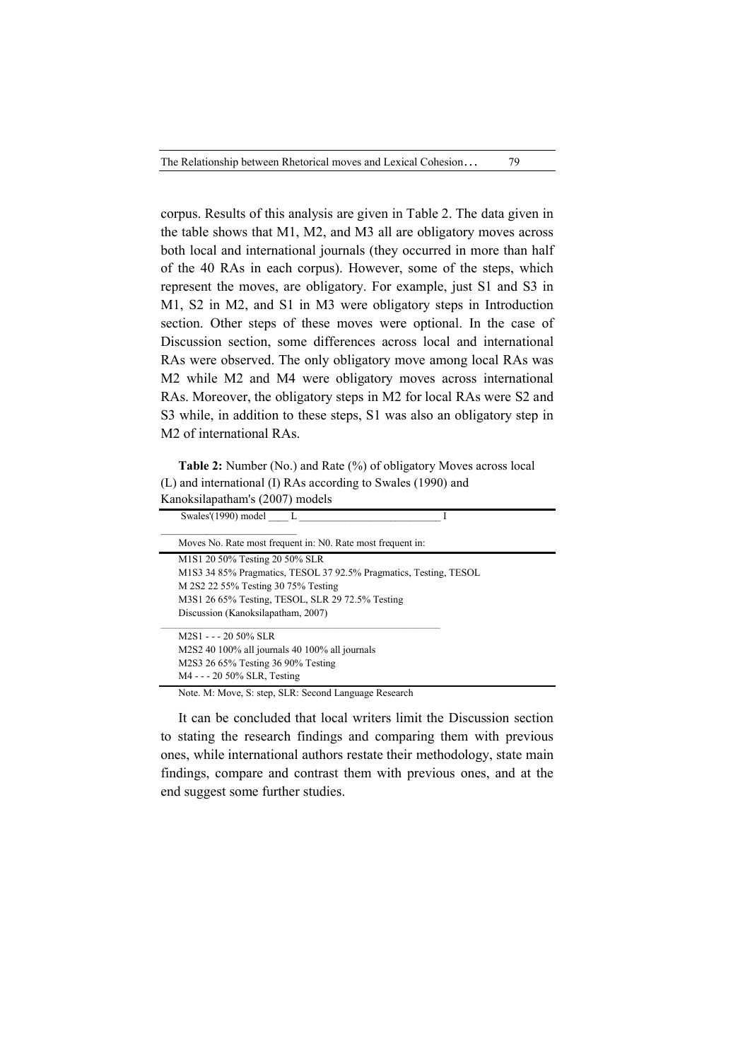corpus. Results of this analysis are given in Table 2. The data given in the table shows that M1, M2, and M3 all are obligatory moves across both local and international journals (they occurred in more than half of the 40 RAs in each corpus). However, some of the steps, which represent the moves, are obligatory. For example, just S1 and S3 in M1, S2 in M2, and S1 in M3 were obligatory steps in Introduction section. Other steps of these moves were optional. In the case of Discussion section, some differences across local and international RAs were observed. The only obligatory move among local RAs was M2 while M2 and M4 were obligatory moves across international RAs. Moreover, the obligatory steps in M2 for local RAs were S2 and S3 while, in addition to these steps, S1 was also an obligatory step in M2 of international RAs.

**Table 2:** Number (No.) and Rate (%) of obligatory Moves across local (L) and international (I) RAs according to Swales (1990) and Kanoksilapatham's (2007) models

| Swales'(1990) model L                                             |  |
|-------------------------------------------------------------------|--|
| Moves No. Rate most frequent in: No. Rate most frequent in:       |  |
| M1S1 20 50% Testing 20 50% SLR                                    |  |
| M1S3 34 85% Pragmatics, TESOL 37 92.5% Pragmatics, Testing, TESOL |  |
| M 2S2 22 55% Testing 30 75% Testing                               |  |
| M3S1 26 65% Testing, TESOL, SLR 29 72.5% Testing                  |  |
| Discussion (Kanoksilapatham, 2007)                                |  |
| $M2S1 - -20.50\%$ SLR                                             |  |
| M2S2 40 100% all journals 40 100% all journals                    |  |
| M2S3 26 65% Testing 36 90% Testing                                |  |
| M4 - - - 20 50% SLR, Testing                                      |  |

Note. M: Move, S: step, SLR: Second Language Research

It can be concluded that local writers limit the Discussion section to stating the research findings and comparing them with previous ones, while international authors restate their methodology, state main findings, compare and contrast them with previous ones, and at the end suggest some further studies.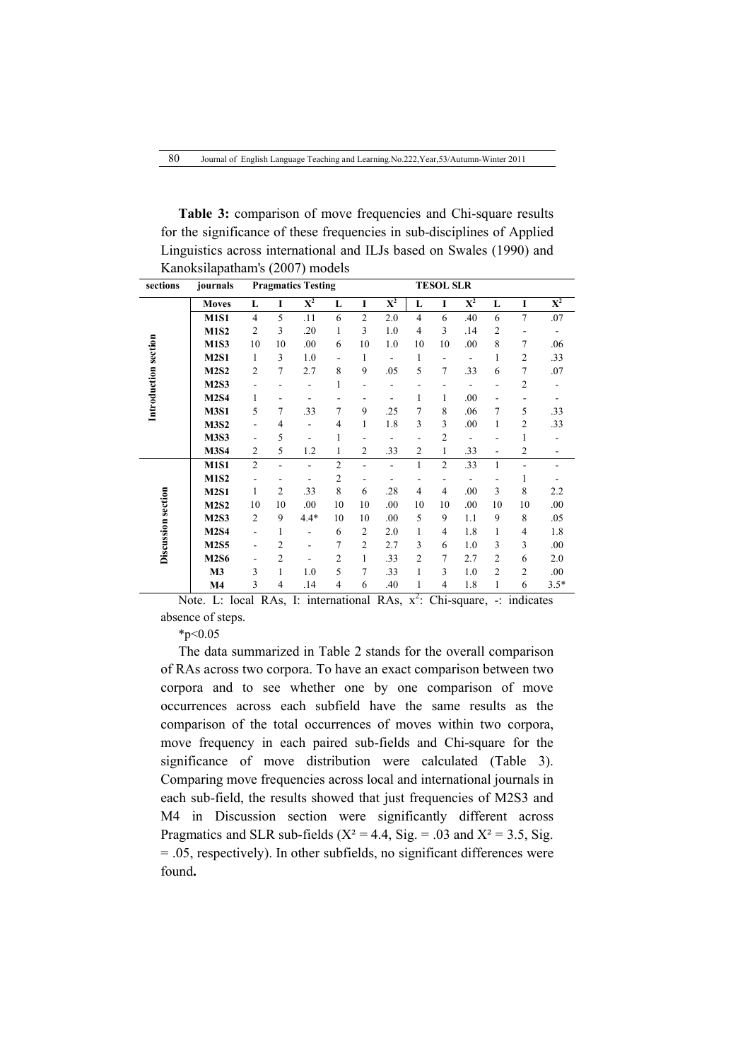| <b>Table 3:</b> comparison of move frequencies and Chi-square results   |
|-------------------------------------------------------------------------|
| for the significance of these frequencies in sub-disciplines of Applied |
| Linguistics across international and ILJs based on Swales (1990) and    |
| Kanoksilapatham's (2007) models                                         |
| $\mathbf{m} \mathbf{m} \wedge \mathbf{m} \mathbf{m}$                    |

| sections             | journals                                                              |                          |                              | <b>Pragmatics Testing</b>    |                          |                |                           |                | <b>TESOL SLR</b> |                    |                          |                 |                          |
|----------------------|-----------------------------------------------------------------------|--------------------------|------------------------------|------------------------------|--------------------------|----------------|---------------------------|----------------|------------------|--------------------|--------------------------|-----------------|--------------------------|
|                      | <b>Moves</b>                                                          | L                        | $\mathbf I$                  | $\mathbf{X}^2$               | L                        | $\mathbf I$    | $\overline{\textbf{X}^2}$ | L              | I                | ${\bf X}^2$        | L                        | $\mathbf I$     | $\mathbf{X}^2$           |
|                      | <b>M1S1</b>                                                           | $\overline{4}$           | 5                            | .11                          | 6                        | $\overline{c}$ | 2.0                       | $\overline{4}$ | 6                | .40                | 6                        | 7               | .07                      |
|                      | <b>M1S2</b>                                                           | $\overline{2}$           | 3                            | .20                          | 1                        | 3              | 1.0                       | $\overline{4}$ | 3                | .14                | $\mathfrak{2}$           |                 |                          |
| Introduction section | <b>M1S3</b>                                                           | 10                       | 10                           | .00                          | 6                        | 10             | 1.0                       | 10             | 10               | .00                | 8                        | 7               | .06                      |
|                      | <b>M2S1</b>                                                           | $\mathbf{1}$             | 3                            | 1.0                          | $\overline{\phantom{a}}$ | 1              | -                         | $\mathbf{1}$   |                  | $\blacksquare$     | 1                        | $\overline{c}$  | .33                      |
|                      | <b>M2S2</b>                                                           | $\overline{2}$           | $\overline{7}$               | 2.7                          | 8                        | 9              | .05                       | 5              | 7                | .33                | 6                        | $\overline{7}$  | .07                      |
|                      | <b>M2S3</b>                                                           | $\overline{\phantom{0}}$ |                              | $\overline{\phantom{0}}$     | 1                        |                | $\overline{a}$            | $\overline{a}$ |                  | $\blacksquare$     | $\overline{\phantom{a}}$ | $\overline{2}$  | $\overline{\phantom{0}}$ |
|                      | <b>M2S4</b>                                                           | 1                        |                              | $\qquad \qquad \blacksquare$ |                          |                | -                         | 1              | 1                | .00                | ۰                        |                 | -                        |
|                      | <b>M3S1</b>                                                           | 5                        | $\overline{7}$               | .33                          | 7                        | 9              | .25                       | $\overline{7}$ | 8                | .06                | $\overline{7}$           | 5               | .33                      |
|                      | <b>M3S2</b>                                                           | $\overline{\phantom{0}}$ | 4                            | $\overline{a}$               | 4                        | 1              | 1.8                       | 3              | 3                | .00                | 1                        | 2               | .33                      |
|                      | <b>M3S3</b>                                                           | -                        | 5                            | $\qquad \qquad \blacksquare$ | 1                        |                |                           | $\overline{a}$ | $\overline{2}$   | $\overline{a}$     |                          | 1               |                          |
|                      | <b>M3S4</b>                                                           | $\overline{2}$           | 5                            | 1.2                          | 1                        | $\overline{2}$ | .33                       | $\overline{c}$ | $\mathbf{1}$     | .33                | $\overline{a}$           | $\overline{c}$  |                          |
|                      | <b>M1S1</b>                                                           | $\overline{2}$           | $\overline{a}$               | $\overline{a}$               | $\overline{2}$           | ÷.             | $\overline{a}$            | $\mathbf{1}$   | $\overline{2}$   | .33                | $\mathbf{1}$             | $\overline{a}$  | $\overline{\phantom{0}}$ |
|                      | <b>M1S2</b>                                                           | $\overline{\phantom{0}}$ | $\qquad \qquad \blacksquare$ | $\overline{\phantom{0}}$     | $\overline{2}$           |                | $\overline{a}$            | $\overline{a}$ |                  |                    |                          | 1               |                          |
|                      | <b>M2S1</b>                                                           | $\mathbf{1}$             | $\mathfrak{2}$               | .33                          | 8                        | 6              | .28                       | $\overline{4}$ | $\overline{4}$   | .00                | 3                        | 8               | 2.2                      |
|                      | <b>M2S2</b>                                                           | 10                       | 10                           | .00                          | 10                       | 10             | .00                       | 10             | 10               | .00                | 10                       | 10              | .00                      |
| Discussion section   | <b>M2S3</b>                                                           | $\mathfrak{2}$           | 9                            | $4.4*$                       | 10                       | 10             | .00                       | 5              | 9                | 1.1                | 9                        | 8               | .05                      |
|                      | <b>M2S4</b>                                                           | $\overline{\phantom{0}}$ | $\mathbf{1}$                 | $\overline{\phantom{0}}$     | 6                        | $\overline{2}$ | 2.0                       | $\mathbf{1}$   | 4                | 1.8                | 1                        | 4               | 1.8                      |
|                      | <b>M2S5</b>                                                           | -                        | $\overline{2}$               | $\overline{\phantom{0}}$     | 7                        | $\overline{2}$ | 2.7                       | 3              | 6                | 1.0                | 3                        | 3               | .00                      |
|                      | <b>M2S6</b>                                                           | $\overline{\phantom{0}}$ | $\overline{c}$               |                              | $\overline{2}$           | 1              | .33                       | $\overline{c}$ | 7                | 2.7                | $\mathfrak{2}$           | 6               | 2.0                      |
|                      | M3                                                                    | 3                        | 1                            | 1.0                          | 5                        | $\overline{7}$ | .33                       | $\mathbf{1}$   | 3                | 1.0                | $\mathfrak{2}$           | $\overline{c}$  | .00                      |
|                      | $\mathbf{M}4$                                                         | 3                        | 4                            | .14                          | 4                        | 6              | .40                       | 1              | $\overline{4}$   | 1.8                | 1                        | 6               | $3.5*$                   |
|                      | Mate $I \cup \text{lead}$ $D A \times I$ , intermediated $D A \times$ |                          |                              |                              |                          |                |                           | 2.             |                  | $Cl2$ conservation |                          | a dia 41 andrew |                          |

Note. L: local RAs, I: international RAs, x<sup>2</sup>: Chi-square, -: indicates absence of steps.

 $*p<0.05$ 

The data summarized in Table 2 stands for the overall comparison of RAs across two corpora. To have an exact comparison between two corpora and to see whether one by one comparison of move occurrences across each subfield have the same results as the comparison of the total occurrences of moves within two corpora, move frequency in each paired sub-fields and Chi-square for the significance of move distribution were calculated (Table 3). Comparing move frequencies across local and international journals in each sub-field, the results showed that just frequencies of M2S3 and M4 in Discussion section were significantly different across Pragmatics and SLR sub-fields ( $X^2 = 4.4$ , Sig. = .03 and  $X^2 = 3.5$ , Sig. = .05, respectively). In other subfields, no significant differences were found**.**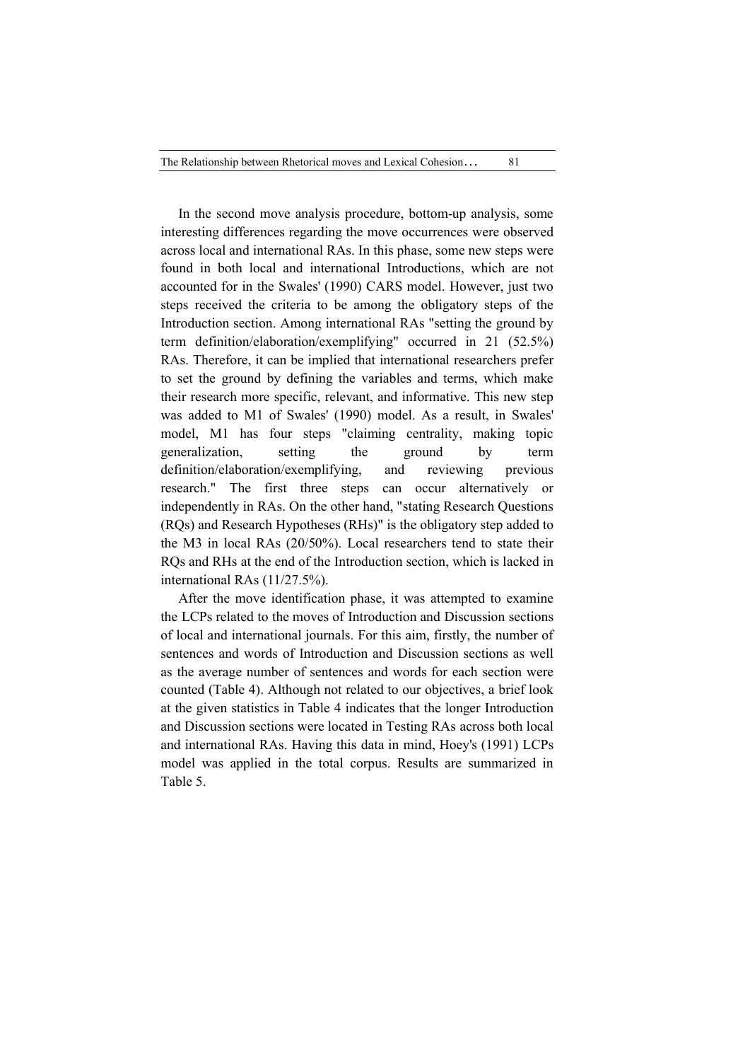In the second move analysis procedure, bottom-up analysis, some interesting differences regarding the move occurrences were observed across local and international RAs. In this phase, some new steps were found in both local and international Introductions, which are not accounted for in the Swales' (1990) CARS model. However, just two steps received the criteria to be among the obligatory steps of the Introduction section. Among international RAs "setting the ground by term definition/elaboration/exemplifying" occurred in 21 (52.5%) RAs. Therefore, it can be implied that international researchers prefer to set the ground by defining the variables and terms, which make their research more specific, relevant, and informative. This new step was added to M1 of Swales' (1990) model. As a result, in Swales' model, M1 has four steps "claiming centrality, making topic generalization, setting the ground by term definition/elaboration/exemplifying, and reviewing previous research." The first three steps can occur alternatively or independently in RAs. On the other hand, "stating Research Questions (RQs) and Research Hypotheses (RHs)" is the obligatory step added to the M3 in local RAs (20/50%). Local researchers tend to state their RQs and RHs at the end of the Introduction section, which is lacked in international RAs (11/27.5%).

After the move identification phase, it was attempted to examine the LCPs related to the moves of Introduction and Discussion sections of local and international journals. For this aim, firstly, the number of sentences and words of Introduction and Discussion sections as well as the average number of sentences and words for each section were counted (Table 4). Although not related to our objectives, a brief look at the given statistics in Table 4 indicates that the longer Introduction and Discussion sections were located in Testing RAs across both local and international RAs. Having this data in mind, Hoey's (1991) LCPs model was applied in the total corpus. Results are summarized in Table 5.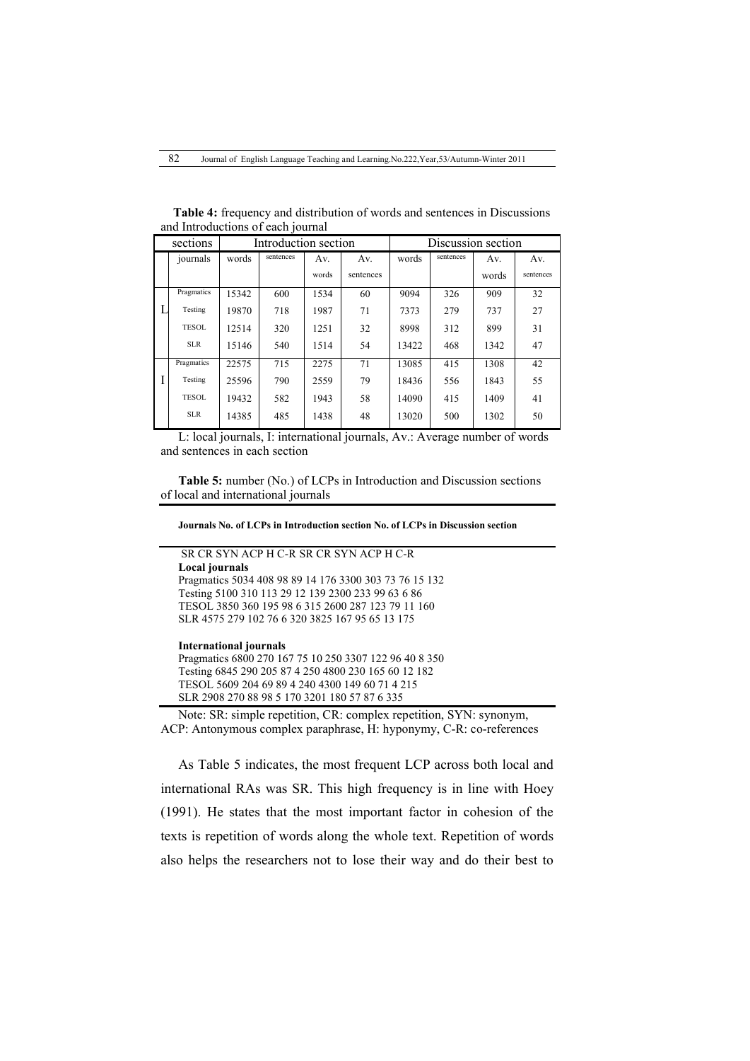| sections     |       | Introduction section |       |           |       |           | Discussion section |           |  |  |
|--------------|-------|----------------------|-------|-----------|-------|-----------|--------------------|-----------|--|--|
| journals     | words | sentences            | Av.   | Av.       | words | sentences | Av.                | Av.       |  |  |
|              |       |                      | words | sentences |       |           | words              | sentences |  |  |
| Pragmatics   | 15342 | 600                  | 1534  | 60        | 9094  | 326       | 909                | 32        |  |  |
| Testing      | 19870 | 718                  | 1987  | 71        | 7373  | 279       | 737                | 27        |  |  |
| <b>TESOL</b> | 12514 | 320                  | 1251  | 32        | 8998  | 312       | 899                | 31        |  |  |
| <b>SLR</b>   | 15146 | 540                  | 1514  | 54        | 13422 | 468       | 1342               | 47        |  |  |
| Pragmatics   | 22575 | 715                  | 2275  | 71        | 13085 | 415       | 1308               | 42        |  |  |
| Testing      | 25596 | 790                  | 2559  | 79        | 18436 | 556       | 1843               | 55        |  |  |
| <b>TESOL</b> | 19432 | 582                  | 1943  | 58        | 14090 | 415       | 1409               | 41        |  |  |
| <b>SLR</b>   | 14385 | 485                  | 1438  | 48        | 13020 | 500       | 1302               | 50        |  |  |

 **Table 4:** frequency and distribution of words and sentences in Discussions and Introductions of each journal

L: local journals, I: international journals, Av.: Average number of words and sentences in each section

**Table 5:** number (No.) of LCPs in Introduction and Discussion sections of local and international journals

**Journals No. of LCPs in Introduction section No. of LCPs in Discussion section**

# SR CR SYN ACP H C-R SR CR SYN ACP H C-R

**Local journals**  Pragmatics 5034 408 98 89 14 176 3300 303 73 76 15 132 Testing 5100 310 113 29 12 139 2300 233 99 63 6 86 TESOL 3850 360 195 98 6 315 2600 287 123 79 11 160 SLR 4575 279 102 76 6 320 3825 167 95 65 13 175

#### **International journals**

Pragmatics 6800 270 167 75 10 250 3307 122 96 40 8 350 Testing 6845 290 205 87 4 250 4800 230 165 60 12 182 TESOL 5609 204 69 89 4 240 4300 149 60 71 4 215 SLR 2908 270 88 98 5 170 3201 180 57 87 6 335

Note: SR: simple repetition, CR: complex repetition, SYN: synonym, ACP: Antonymous complex paraphrase, H: hyponymy, C-R: co-references

As Table 5 indicates, the most frequent LCP across both local and international RAs was SR. This high frequency is in line with Hoey (1991). He states that the most important factor in cohesion of the texts is repetition of words along the whole text. Repetition of words also helps the researchers not to lose their way and do their best to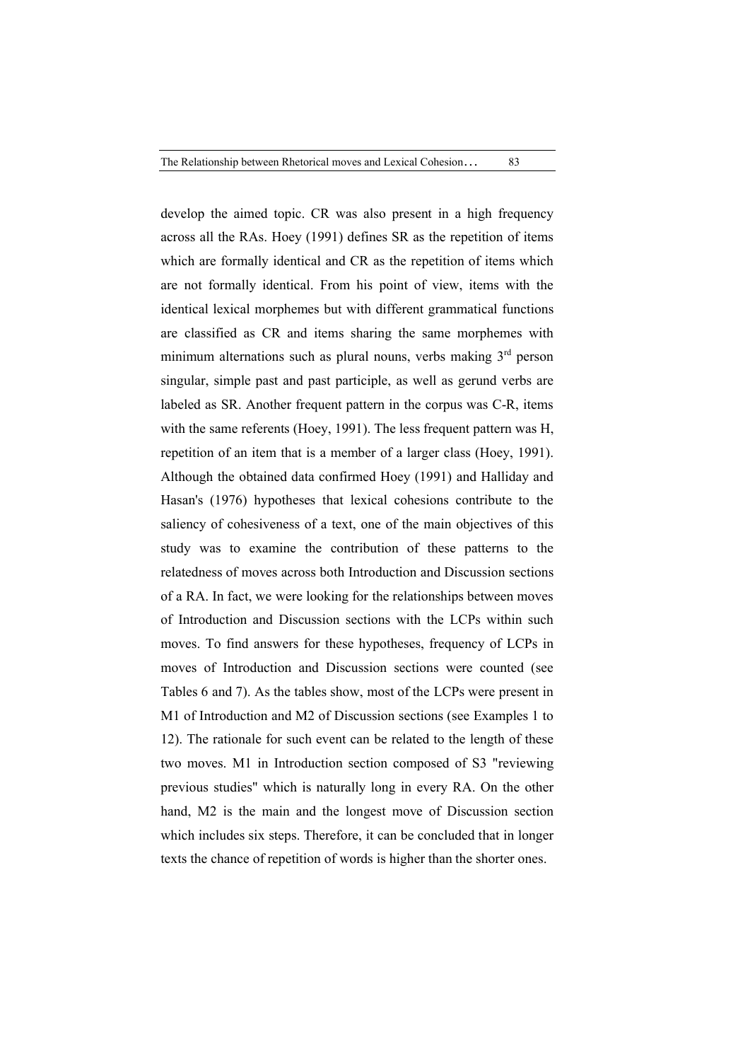develop the aimed topic. CR was also present in a high frequency across all the RAs. Hoey (1991) defines SR as the repetition of items which are formally identical and CR as the repetition of items which are not formally identical. From his point of view, items with the identical lexical morphemes but with different grammatical functions are classified as CR and items sharing the same morphemes with minimum alternations such as plural nouns, verbs making  $3<sup>rd</sup>$  person singular, simple past and past participle, as well as gerund verbs are labeled as SR. Another frequent pattern in the corpus was C-R, items with the same referents (Hoey, 1991). The less frequent pattern was H, repetition of an item that is a member of a larger class (Hoey, 1991). Although the obtained data confirmed Hoey (1991) and Halliday and Hasan's (1976) hypotheses that lexical cohesions contribute to the saliency of cohesiveness of a text, one of the main objectives of this study was to examine the contribution of these patterns to the relatedness of moves across both Introduction and Discussion sections of a RA. In fact, we were looking for the relationships between moves of Introduction and Discussion sections with the LCPs within such moves. To find answers for these hypotheses, frequency of LCPs in moves of Introduction and Discussion sections were counted (see Tables 6 and 7). As the tables show, most of the LCPs were present in M1 of Introduction and M2 of Discussion sections (see Examples 1 to 12). The rationale for such event can be related to the length of these two moves. M1 in Introduction section composed of S3 "reviewing previous studies" which is naturally long in every RA. On the other hand, M2 is the main and the longest move of Discussion section which includes six steps. Therefore, it can be concluded that in longer texts the chance of repetition of words is higher than the shorter ones.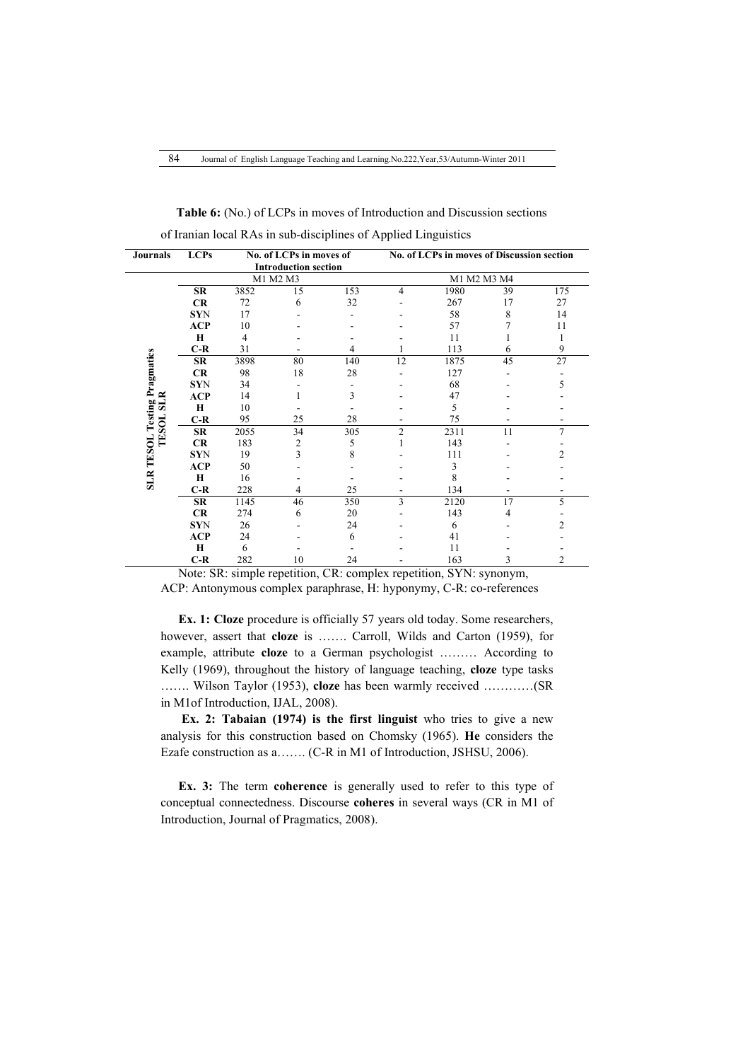| <b>Journals</b>                                         | <b>LCPs</b> |      | No. of LCPs in moves of     |     | <b>No. of LCPs in moves of Discussion section</b> |             |    |                 |  |  |  |
|---------------------------------------------------------|-------------|------|-----------------------------|-----|---------------------------------------------------|-------------|----|-----------------|--|--|--|
|                                                         |             |      | <b>Introduction section</b> |     |                                                   |             |    |                 |  |  |  |
|                                                         |             |      | M1 M2 M3                    |     |                                                   | M1 M2 M3 M4 |    |                 |  |  |  |
|                                                         | <b>SR</b>   | 3852 | 15                          | 153 | 4                                                 | 1980        | 39 | 175             |  |  |  |
|                                                         | CR          | 72   | 6                           | 32  |                                                   | 267         | 17 | 27              |  |  |  |
|                                                         | <b>SYN</b>  | 17   |                             |     |                                                   | 58          | 8  | 14              |  |  |  |
|                                                         | <b>ACP</b>  | 10   |                             |     |                                                   | 57          |    | 11              |  |  |  |
|                                                         | $\bf{H}$    | 4    |                             |     |                                                   | 11          |    |                 |  |  |  |
|                                                         | $C-R$       | 31   |                             | 4   |                                                   | 113         | 6  | 9               |  |  |  |
|                                                         | <b>SR</b>   | 3898 | 80                          | 140 | 12                                                | 1875        | 45 | $\overline{27}$ |  |  |  |
|                                                         | <b>CR</b>   | 98   | 18                          | 28  |                                                   | 127         |    |                 |  |  |  |
|                                                         | <b>SYN</b>  | 34   |                             |     |                                                   | 68          |    | 5               |  |  |  |
|                                                         | <b>ACP</b>  | 14   |                             | 3   |                                                   | 47          |    |                 |  |  |  |
|                                                         | Н           | 10   |                             |     |                                                   | 5           |    |                 |  |  |  |
|                                                         | $C-R$       | 95   | 25                          | 28  |                                                   | 75          |    |                 |  |  |  |
| <b>SLR TESOL Testing Pragmatics</b><br><b>TESOL SLR</b> | <b>SR</b>   | 2055 | 34                          | 305 | $\overline{c}$                                    | 2311        | 11 | $\overline{7}$  |  |  |  |
|                                                         | CR          | 183  | $\overline{2}$              | 5   |                                                   | 143         |    |                 |  |  |  |
|                                                         | <b>SYN</b>  | 19   | 3                           | 8   |                                                   | 111         |    | $\overline{c}$  |  |  |  |
|                                                         | <b>ACP</b>  | 50   |                             |     |                                                   | 3           |    |                 |  |  |  |
|                                                         | $\bf{H}$    | 16   |                             |     |                                                   | 8           |    |                 |  |  |  |
|                                                         | $C-R$       | 228  | 4                           | 25  |                                                   | 134         |    |                 |  |  |  |
|                                                         | <b>SR</b>   | 1145 | 46                          | 350 | 3                                                 | 2120        | 17 | 5               |  |  |  |
|                                                         | CR          | 274  | 6                           | 20  |                                                   | 143         | 4  |                 |  |  |  |
|                                                         | <b>SYN</b>  | 26   |                             | 24  |                                                   | 6           |    | 2               |  |  |  |
|                                                         | <b>ACP</b>  | 24   |                             | 6   |                                                   | 41          |    |                 |  |  |  |
|                                                         | $\bf H$     | 6    |                             |     |                                                   | 11          |    |                 |  |  |  |
|                                                         | $C-R$       | 282  | 10                          | 24  |                                                   | 163         | 3  | 2               |  |  |  |

 **Table 6:** (No.) of LCPs in moves of Introduction and Discussion sections of Iranian local RAs in sub-disciplines of Applied Linguistics

Note: SR: simple repetition, CR: complex repetition, SYN: synonym, ACP: Antonymous complex paraphrase, H: hyponymy, C-R: co-references

**Ex. 1: Cloze** procedure is officially 57 years old today. Some researchers, however, assert that **cloze** is ……. Carroll, Wilds and Carton (1959), for example, attribute **cloze** to a German psychologist ……… According to Kelly (1969), throughout the history of language teaching, **cloze** type tasks ……. Wilson Taylor (1953), **cloze** has been warmly received …………(SR in M1of Introduction, IJAL, 2008).

**Ex. 2: Tabaian (1974) is the first linguist** who tries to give a new analysis for this construction based on Chomsky (1965). **He** considers the Ezafe construction as a……. (C-R in M1 of Introduction, JSHSU, 2006).

**Ex. 3:** The term **coherence** is generally used to refer to this type of conceptual connectedness. Discourse **coheres** in several ways (CR in M1 of Introduction, Journal of Pragmatics, 2008).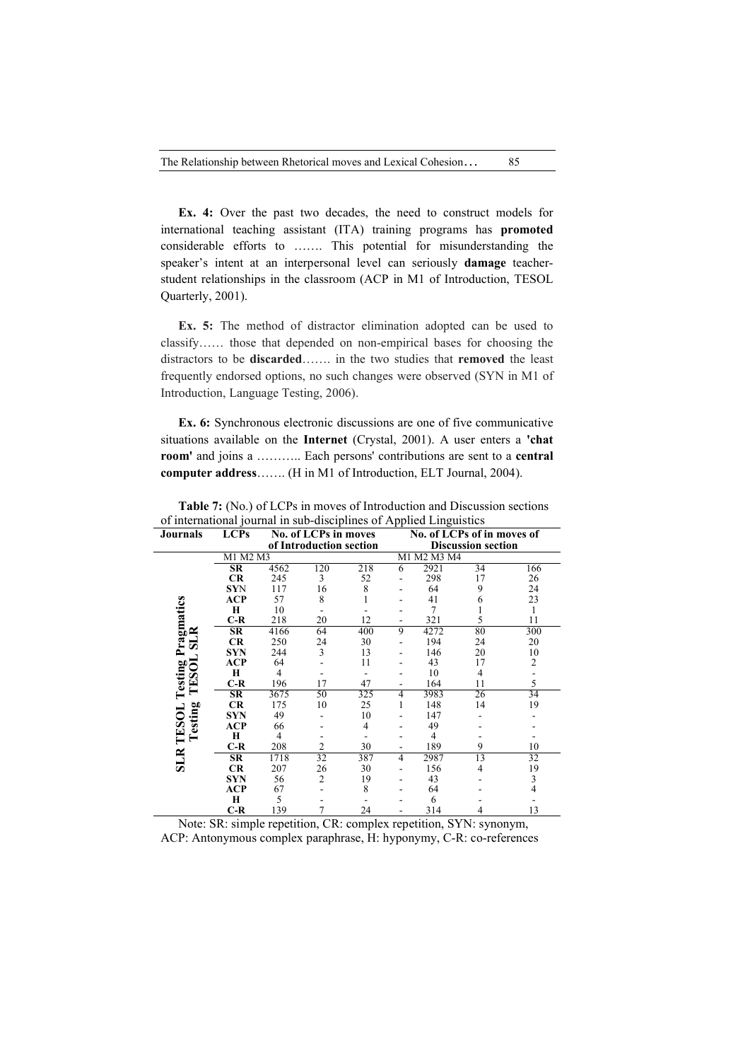**Ex. 4:** Over the past two decades, the need to construct models for international teaching assistant (ITA) training programs has **promoted** considerable efforts to ……. This potential for misunderstanding the speaker's intent at an interpersonal level can seriously **damage** teacherstudent relationships in the classroom (ACP in M1 of Introduction, TESOL Quarterly, 2001).

**Ex. 5:** The method of distractor elimination adopted can be used to classify…… those that depended on non-empirical bases for choosing the distractors to be **discarded**……. in the two studies that **removed** the least frequently endorsed options, no such changes were observed (SYN in M1 of Introduction, Language Testing, 2006).

**Ex. 6:** Synchronous electronic discussions are one of five communicative situations available on the **Internet** (Crystal, 2001). A user enters a **'chat room'** and joins a ……….. Each persons' contributions are sent to a **central computer address**……. (H in M1 of Introduction, ELT Journal, 2004).

| <b>Journals</b>         | <b>LCPs</b>            |      | No. of LCPs in moves<br>of Introduction section |     | No. of LCPs of in moves of<br><b>Discussion section</b> |                |    |                |  |  |  |
|-------------------------|------------------------|------|-------------------------------------------------|-----|---------------------------------------------------------|----------------|----|----------------|--|--|--|
|                         | M1 M2 M3               |      |                                                 |     |                                                         | M1 M2 M3 M4    |    |                |  |  |  |
|                         |                        |      |                                                 |     |                                                         | 2921           |    |                |  |  |  |
|                         | SR                     | 4562 | 120                                             | 218 | 6                                                       |                | 34 | 166            |  |  |  |
|                         | <b>CR</b>              | 245  | 3                                               | 52  |                                                         | 298            | 17 | 26             |  |  |  |
|                         | <b>SYN</b>             | 117  | 16                                              | 8   |                                                         | 64             | 9  | 24             |  |  |  |
|                         | ACP                    | 57   | 8                                               |     |                                                         | 41             | 6  | 23             |  |  |  |
|                         | Н                      | 10   |                                                 |     |                                                         | 7              |    |                |  |  |  |
| Pragmatics              | $C-R$                  | 218  | 20                                              | 12  |                                                         | 321            | 5  | 11             |  |  |  |
| $_{\rm{LR}}$            | $\overline{\text{SR}}$ | 4166 | 64                                              | 400 | 9                                                       | 4272           | 80 | 300            |  |  |  |
| ø                       | CR                     | 250  | 24                                              | 30  |                                                         | 194            | 24 | 20             |  |  |  |
|                         | <b>SYN</b>             | 244  | 3                                               | 13  |                                                         | 146            | 20 | 10             |  |  |  |
|                         | <b>ACP</b>             | 64   |                                                 | 11  |                                                         | 43             | 17 | $\overline{2}$ |  |  |  |
|                         | H                      | 4    |                                                 |     |                                                         | 10             | 4  |                |  |  |  |
| TESOL<br><b>Testing</b> | $C-R$                  | 196  | 17                                              | 47  |                                                         | 164            | 11 | 5              |  |  |  |
|                         | SR                     | 3675 | 50                                              | 325 | 4                                                       | 3983           | 26 | 34             |  |  |  |
|                         | <b>CR</b>              | 175  | 10                                              | 25  | 1                                                       | 148            | 14 | 19             |  |  |  |
|                         | <b>SYN</b>             | 49   |                                                 | 10  |                                                         | 147            |    |                |  |  |  |
| esting<br>TESOL         | ACP                    | 66   |                                                 | 4   |                                                         | 49             |    |                |  |  |  |
|                         | Н                      | 4    |                                                 |     |                                                         | $\overline{4}$ |    |                |  |  |  |
|                         | $C-R$                  | 208  | 2                                               | 30  |                                                         | 189            | 9  | 10             |  |  |  |
| <b>SLR</b>              | SR                     | 1718 | 32                                              | 387 | $\overline{4}$                                          | 2987           | 13 | 32             |  |  |  |
|                         | CR                     | 207  | 26                                              | 30  |                                                         | 156            | 4  | 19             |  |  |  |
|                         | <b>SYN</b>             | 56   | $\overline{2}$                                  | 19  |                                                         | 43             |    | 3              |  |  |  |
|                         | <b>ACP</b>             | 67   |                                                 | 8   |                                                         | 64             |    | $\overline{4}$ |  |  |  |
|                         | $\mathbf H$            | 5    |                                                 |     |                                                         | 6              |    |                |  |  |  |
|                         | $C-R$                  | 139  | 7                                               | 24  |                                                         | 314            | 4  | 13             |  |  |  |

**Table 7:** (No.) of LCPs in moves of Introduction and Discussion sections of international journal in sub-disciplines of Applied Linguistics

Note: SR: simple repetition, CR: complex repetition, SYN: synonym, ACP: Antonymous complex paraphrase, H: hyponymy, C-R: co-references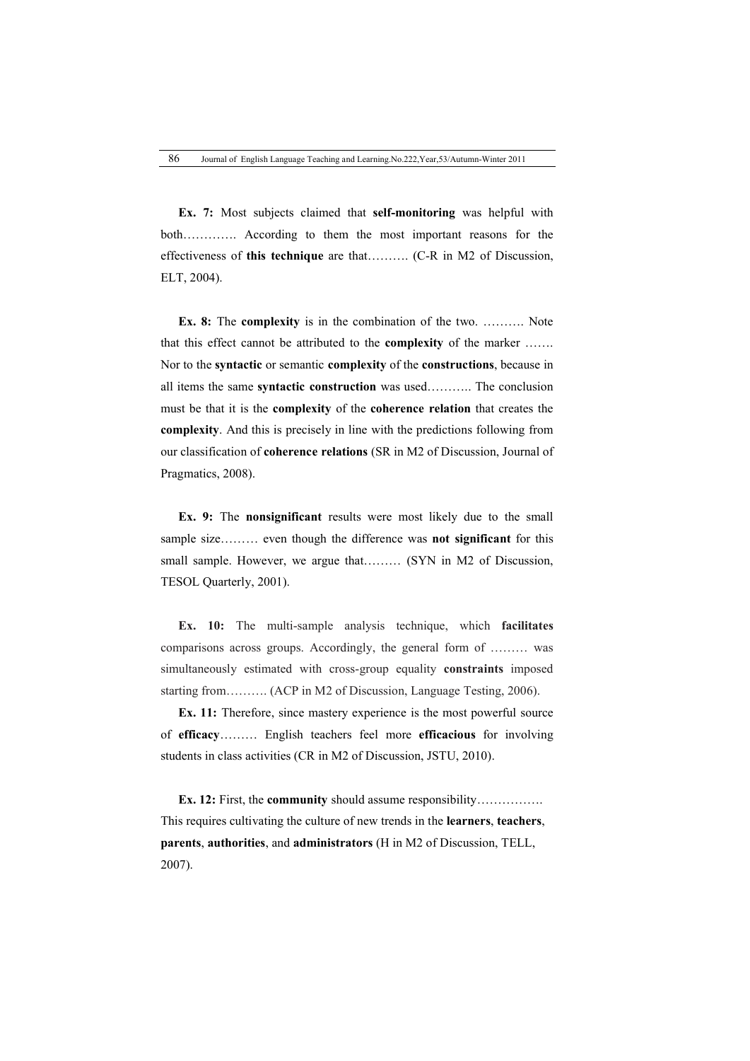**Ex. 7:** Most subjects claimed that **self-monitoring** was helpful with both…………. According to them the most important reasons for the effectiveness of **this technique** are that………. (C-R in M2 of Discussion, ELT, 2004).

**Ex. 8:** The **complexity** is in the combination of the two. ………. Note that this effect cannot be attributed to the **complexity** of the marker ……. Nor to the **syntactic** or semantic **complexity** of the **constructions**, because in all items the same **syntactic construction** was used……….. The conclusion must be that it is the **complexity** of the **coherence relation** that creates the **complexity**. And this is precisely in line with the predictions following from our classification of **coherence relations** (SR in M2 of Discussion, Journal of Pragmatics, 2008).

**Ex. 9:** The **nonsignificant** results were most likely due to the small sample size……… even though the difference was **not significant** for this small sample. However, we argue that……… (SYN in M2 of Discussion, TESOL Quarterly, 2001).

**Ex. 10:** The multi-sample analysis technique, which **facilitates** comparisons across groups. Accordingly, the general form of ……… was simultaneously estimated with cross-group equality **constraints** imposed starting from………. (ACP in M2 of Discussion, Language Testing, 2006).

**Ex. 11:** Therefore, since mastery experience is the most powerful source of **efficacy**……… English teachers feel more **efficacious** for involving students in class activities (CR in M2 of Discussion, JSTU, 2010).

**Ex. 12:** First, the **community** should assume responsibility……………. This requires cultivating the culture of new trends in the **learners**, **teachers**, **parents**, **authorities**, and **administrators** (H in M2 of Discussion, TELL, 2007).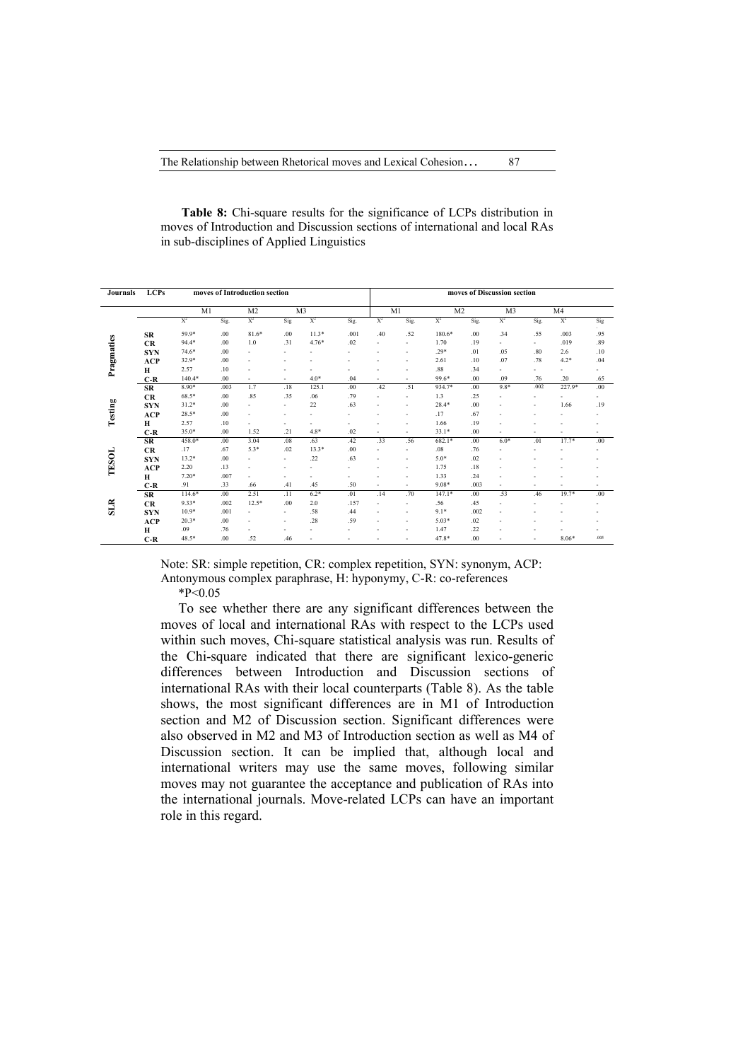| Journals   | <b>LCPs</b> | moves of Introduction section |      |                          |                          |         |      |                          | moves of Discussion section |          |                |                |                          |                          |                          |  |  |
|------------|-------------|-------------------------------|------|--------------------------|--------------------------|---------|------|--------------------------|-----------------------------|----------|----------------|----------------|--------------------------|--------------------------|--------------------------|--|--|
|            |             | M1                            |      | M <sub>2</sub>           | M3                       |         |      |                          | M1                          |          | M <sub>2</sub> | M <sub>3</sub> |                          | M <sub>4</sub>           |                          |  |  |
|            |             | $X^2$                         | Sig. | $X^2$                    | Sig                      | $X^2$   | Sig. | $X^2$                    | Sig.                        | $X^2$    | Sig.           | $X^2$          | Sig.                     | $X^2$                    | Sig                      |  |  |
|            | SR          | 59.9*                         | .00  | $81.6*$                  | .00                      | $11.3*$ | .001 | .40                      | .52                         | 180.6*   | .00            | .34            | .55                      | .003                     | .95                      |  |  |
|            | CR          | $94.4*$                       | .00  | 1.0                      | .31                      | $4.76*$ | .02  | ٠                        | ٠                           | 1.70     | .19            | $\sim$         | $\sim$                   | .019                     | .89                      |  |  |
| Pragmatics | <b>SYN</b>  | 74.6*                         | .00  | $\overline{\phantom{a}}$ | $\overline{a}$           |         |      | $\overline{\phantom{a}}$ | ۰                           | $.29*$   | .01            | .05            | .80                      | 2.6                      | .10                      |  |  |
|            | ACP         | 32.9*                         | .00  |                          | ٠                        |         |      |                          |                             | 2.61     | .10            | .07            | .78                      | $4.2*$                   | .04                      |  |  |
|            | Н           | 2.57                          | .10  |                          | ٠                        |         |      |                          | $\overline{\phantom{a}}$    | .88      | .34            | ٠              | ۰                        | ٠                        | ٠                        |  |  |
|            | C-R         | $140.4*$                      | .00  | $\overline{\phantom{a}}$ | ٠                        | $4.0*$  | .04  | ٠                        | ٠                           | 99.6*    | .00            | .09            | .76                      | .20                      | .65                      |  |  |
|            | SR          | $8.90*$                       | .003 | 1.7                      | .18                      | 125.1   | .00  | .42                      | .51                         | 934.7*   | .00            | $9.8*$         | .002                     | 227.9*                   | .00.                     |  |  |
|            | CR          | $68.5*$                       | .00  | .85                      | .35                      | .06     | .79  | $\overline{\phantom{a}}$ | ٠                           | 1.3      | .25            | ٠              | ٠                        | ٠                        | ٠                        |  |  |
| Testing    | <b>SYN</b>  | $31.2*$                       | .00  |                          | $\sim$                   | 22      | .63  | $\overline{\phantom{a}}$ | ۰                           | $28.4*$  | .00            |                | $\overline{\phantom{a}}$ | 1.66                     | .19                      |  |  |
|            | ACP         | 28.5*                         | .00  |                          | $\overline{a}$           |         | ٠    | ٠                        |                             | .17      | .67            |                |                          |                          | ٠                        |  |  |
|            | Н           | 2.57                          | .10  |                          | ٠                        |         |      |                          | ۰                           | 1.66     | .19            |                |                          |                          | $\overline{\phantom{a}}$ |  |  |
|            | C-R         | $35.0*$                       | .00  | 1.52                     | .21                      | $4.8*$  | .02  | ٠                        |                             | $33.1*$  | .00            |                |                          |                          | ٠                        |  |  |
|            | SR          | 458.0*                        | .00  | 3.04                     | .08                      | .63     | .42  | .33                      | .56                         | $682.1*$ | .00            | $6.0*$         | .01                      | $17.7*$                  | .00                      |  |  |
|            | CR          | .17                           | .67  | $5.3*$                   | .02                      | $13.3*$ | .00  | $\overline{\phantom{a}}$ | ۰                           | .08      | .76            |                |                          |                          | ٠                        |  |  |
| TESOL      | <b>SYN</b>  | $13.2*$                       | .00  |                          | $\overline{\phantom{a}}$ | .22     | .63  | $\overline{\phantom{a}}$ |                             | $5.0*$   | .02            |                |                          |                          |                          |  |  |
|            | <b>ACP</b>  | 2.20                          | .13  |                          | ٠                        |         | ٠    |                          | ۰                           | 1.75     | .18            |                |                          |                          | ٠                        |  |  |
|            | н           | $7.20*$                       | .007 |                          |                          |         |      |                          | $\overline{\phantom{a}}$    | 1.33     | .24            |                |                          |                          | ٠                        |  |  |
|            | C-R         | .91                           | .33  | .66                      | .41                      | .45     | .50  | ٠                        | ۰                           | $9.08*$  | .003           | ٠              | ٠                        | $\overline{\phantom{a}}$ | ٠                        |  |  |
|            | <b>SR</b>   | $114.6*$                      | .00. | 2.51                     | .11                      | $6.2*$  | .01  | .14                      | .70                         | $147.1*$ | .00            | .53            | .46                      | $19.7*$                  | .00                      |  |  |
| <b>SLR</b> | CR          | $9.33*$                       | .002 | $12.5*$                  | .00                      | 2.0     | .157 | ٠                        |                             | .56      | .45            |                |                          |                          |                          |  |  |
|            | <b>SYN</b>  | $10.9*$                       | .001 |                          | ٠                        | .58     | .44  | ٠                        | ۰                           | $9.1*$   | .002           |                | $\overline{a}$           | $\overline{\phantom{a}}$ |                          |  |  |

**Table 8:** Chi-square results for the significance of LCPs distribution in moves of Introduction and Discussion sections of international and local RAs in sub-disciplines of Applied Linguistics

Note: SR: simple repetition, CR: complex repetition, SYN: synonym, ACP: Antonymous complex paraphrase, H: hyponymy, C-R: co-references  $*P<0.05$ 

**SLR** 

**SR** 114.6\* .00 2.51 .11 6.2\* .01 .14 .70 147.1\* .00 .53 .46 19.7\* .00 **CR**  $9.33*$  .002 12.5\* .00 2.0 .157 - - .56 .45 - - - - -**SYN** 10.9\* .001 - - .58 .44 - - 9.1\* .002 - - - -**ACP** 20.3\* .00 - - .28 .59 - - .5.03\* .02 - - - - -**H**  $.09$   $.76$   $.76$   $.76$   $.76$   $.76$   $.76$   $.76$   $.76$   $.76$   $.76$   $.76$   $.76$   $.76$   $.76$   $.76$   $.76$   $.76$   $.76$   $.76$   $.76$   $.76$   $.76$   $.76$   $.76$   $.76$   $.76$   $.76$   $.76$   $.76$   $.76$   $.76$   $.76$   $.76$   $.76$   $.76$   $.$ **C-R**  $48.5^*$  .00 .52 .46 - - - - - 47.8\* .00 - - 8.06\* .00

To see whether there are any significant differences between the moves of local and international RAs with respect to the LCPs used within such moves, Chi-square statistical analysis was run. Results of the Chi-square indicated that there are significant lexico-generic differences between Introduction and Discussion sections of international RAs with their local counterparts (Table 8). As the table shows, the most significant differences are in M1 of Introduction section and M2 of Discussion section. Significant differences were also observed in M2 and M3 of Introduction section as well as M4 of Discussion section. It can be implied that, although local and international writers may use the same moves, following similar moves may not guarantee the acceptance and publication of RAs into the international journals. Move-related LCPs can have an important role in this regard.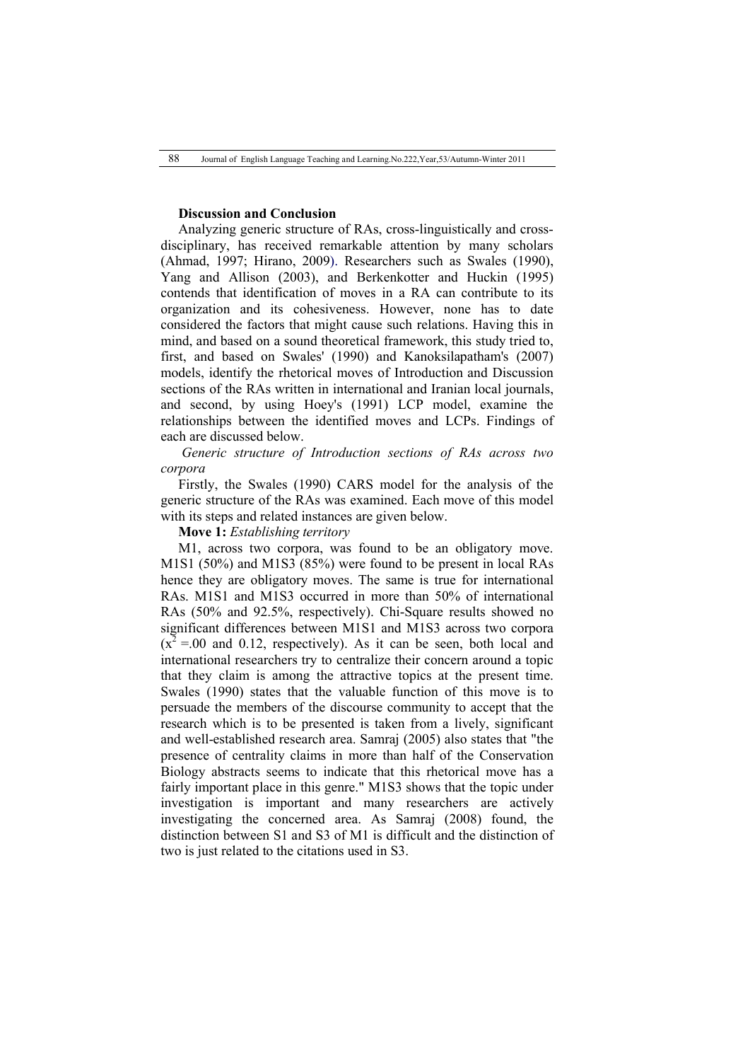## **Discussion and Conclusion**

Analyzing generic structure of RAs, cross-linguistically and crossdisciplinary, has received remarkable attention by many scholars (Ahmad, 1997; Hirano, 2009). Researchers such as Swales (1990), Yang and Allison (2003), and Berkenkotter and Huckin (1995) contends that identification of moves in a RA can contribute to its organization and its cohesiveness. However, none has to date considered the factors that might cause such relations. Having this in mind, and based on a sound theoretical framework, this study tried to, first, and based on Swales' (1990) and Kanoksilapatham's (2007) models, identify the rhetorical moves of Introduction and Discussion sections of the RAs written in international and Iranian local journals, and second, by using Hoey's (1991) LCP model, examine the relationships between the identified moves and LCPs. Findings of each are discussed below.

*Generic structure of Introduction sections of RAs across two corpora*

Firstly, the Swales (1990) CARS model for the analysis of the generic structure of the RAs was examined. Each move of this model with its steps and related instances are given below.

**Move 1:** *Establishing territory*

M1, across two corpora, was found to be an obligatory move. M1S1 (50%) and M1S3 (85%) were found to be present in local RAs hence they are obligatory moves. The same is true for international RAs. M1S1 and M1S3 occurred in more than 50% of international RAs (50% and 92.5%, respectively). Chi-Square results showed no significant differences between M1S1 and M1S3 across two corpora  $(x^2 = 00$  and 0.12, respectively). As it can be seen, both local and international researchers try to centralize their concern around a topic that they claim is among the attractive topics at the present time. Swales (1990) states that the valuable function of this move is to persuade the members of the discourse community to accept that the research which is to be presented is taken from a lively, significant and well-established research area. Samraj (2005) also states that "the presence of centrality claims in more than half of the Conservation Biology abstracts seems to indicate that this rhetorical move has a fairly important place in this genre." M1S3 shows that the topic under investigation is important and many researchers are actively investigating the concerned area. As Samraj (2008) found, the distinction between S1 and S3 of M1 is difficult and the distinction of two is just related to the citations used in S3.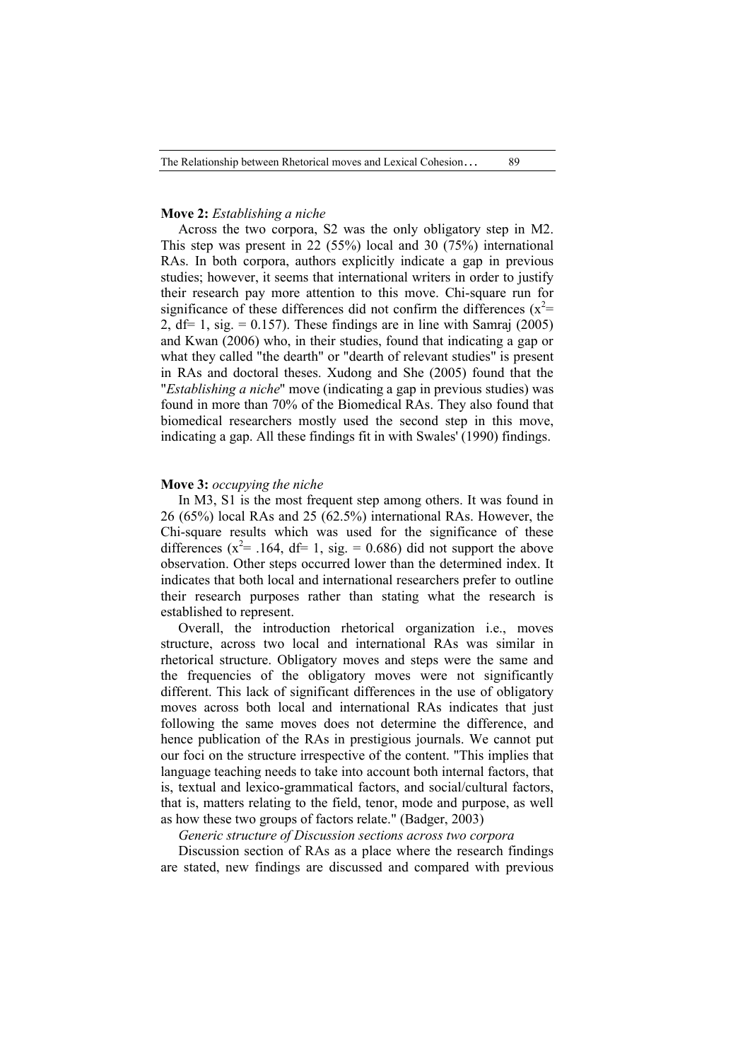# **Move 2:** *Establishing a niche*

Across the two corpora, S2 was the only obligatory step in M2. This step was present in 22 (55%) local and 30 (75%) international RAs. In both corpora, authors explicitly indicate a gap in previous studies; however, it seems that international writers in order to justify their research pay more attention to this move. Chi-square run for significance of these differences did not confirm the differences  $(x^2=$ 2,  $df= 1$ ,  $sig = 0.157$ ). These findings are in line with Samraj (2005) and Kwan (2006) who, in their studies, found that indicating a gap or what they called "the dearth" or "dearth of relevant studies" is present in RAs and doctoral theses. Xudong and She (2005) found that the "*Establishing a niche*" move (indicating a gap in previous studies) was found in more than 70% of the Biomedical RAs. They also found that biomedical researchers mostly used the second step in this move, indicating a gap. All these findings fit in with Swales' (1990) findings.

#### **Move 3:** *occupying the niche*

In M3, S1 is the most frequent step among others. It was found in 26 (65%) local RAs and 25 (62.5%) international RAs. However, the Chi-square results which was used for the significance of these differences ( $x^2$ = .164, df= 1, sig. = 0.686) did not support the above observation. Other steps occurred lower than the determined index. It indicates that both local and international researchers prefer to outline their research purposes rather than stating what the research is established to represent.

Overall, the introduction rhetorical organization i.e., moves structure, across two local and international RAs was similar in rhetorical structure. Obligatory moves and steps were the same and the frequencies of the obligatory moves were not significantly different. This lack of significant differences in the use of obligatory moves across both local and international RAs indicates that just following the same moves does not determine the difference, and hence publication of the RAs in prestigious journals. We cannot put our foci on the structure irrespective of the content. "This implies that language teaching needs to take into account both internal factors, that is, textual and lexico-grammatical factors, and social/cultural factors, that is, matters relating to the field, tenor, mode and purpose, as well as how these two groups of factors relate." (Badger, 2003)

# *Generic structure of Discussion sections across two corpora*

Discussion section of RAs as a place where the research findings are stated, new findings are discussed and compared with previous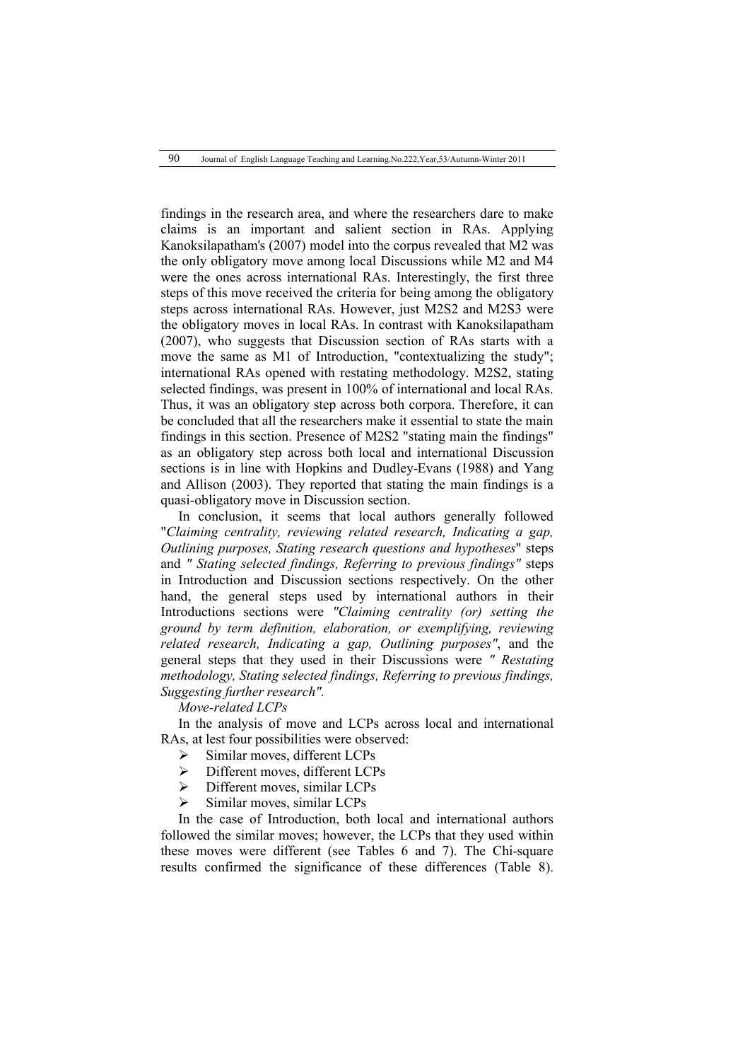findings in the research area, and where the researchers dare to make claims is an important and salient section in RAs. Applying Kanoksilapatham's (2007) model into the corpus revealed that M2 was the only obligatory move among local Discussions while M2 and M4 were the ones across international RAs. Interestingly, the first three steps of this move received the criteria for being among the obligatory steps across international RAs. However, just M2S2 and M2S3 were the obligatory moves in local RAs. In contrast with Kanoksilapatham (2007), who suggests that Discussion section of RAs starts with a move the same as M1 of Introduction, "contextualizing the study"; international RAs opened with restating methodology. M2S2, stating selected findings, was present in 100% of international and local RAs. Thus, it was an obligatory step across both corpora. Therefore, it can be concluded that all the researchers make it essential to state the main findings in this section. Presence of M2S2 "stating main the findings" as an obligatory step across both local and international Discussion sections is in line with Hopkins and Dudley-Evans (1988) and Yang and Allison (2003). They reported that stating the main findings is a quasi-obligatory move in Discussion section.

In conclusion, it seems that local authors generally followed "*Claiming centrality, reviewing related research, Indicating a gap, Outlining purposes, Stating research questions and hypotheses*" steps and *" Stating selected findings, Referring to previous findings"* steps in Introduction and Discussion sections respectively. On the other hand, the general steps used by international authors in their Introductions sections were *"Claiming centrality (or) setting the ground by term definition, elaboration, or exemplifying, reviewing related research, Indicating a gap, Outlining purposes"*, and the general steps that they used in their Discussions were *" Restating methodology, Stating selected findings, Referring to previous findings, Suggesting further research".*

*Move-related LCPs* 

In the analysis of move and LCPs across local and international RAs, at lest four possibilities were observed:

- Similar moves, different LCPs
- Different moves, different LCPs
- $\triangleright$  Different moves, similar LCPs
- $\triangleright$  Similar moves, similar LCPs

In the case of Introduction, both local and international authors followed the similar moves; however, the LCPs that they used within these moves were different (see Tables 6 and 7). The Chi-square results confirmed the significance of these differences (Table 8).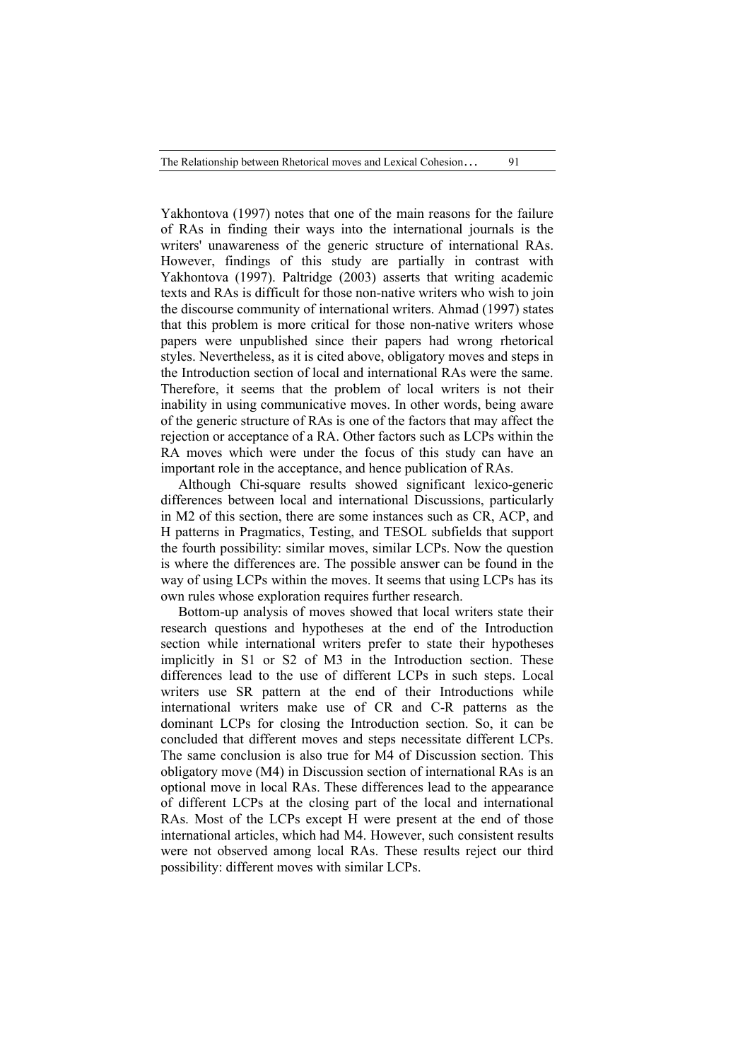Yakhontova (1997) notes that one of the main reasons for the failure of RAs in finding their ways into the international journals is the writers' unawareness of the generic structure of international RAs. However, findings of this study are partially in contrast with Yakhontova (1997). Paltridge (2003) asserts that writing academic texts and RAs is difficult for those non-native writers who wish to join the discourse community of international writers. Ahmad (1997) states that this problem is more critical for those non-native writers whose papers were unpublished since their papers had wrong rhetorical styles. Nevertheless, as it is cited above, obligatory moves and steps in the Introduction section of local and international RAs were the same. Therefore, it seems that the problem of local writers is not their inability in using communicative moves. In other words, being aware of the generic structure of RAs is one of the factors that may affect the rejection or acceptance of a RA. Other factors such as LCPs within the RA moves which were under the focus of this study can have an important role in the acceptance, and hence publication of RAs.

Although Chi-square results showed significant lexico-generic differences between local and international Discussions, particularly in M2 of this section, there are some instances such as CR, ACP, and H patterns in Pragmatics, Testing, and TESOL subfields that support the fourth possibility: similar moves, similar LCPs. Now the question is where the differences are. The possible answer can be found in the way of using LCPs within the moves. It seems that using LCPs has its own rules whose exploration requires further research.

Bottom-up analysis of moves showed that local writers state their research questions and hypotheses at the end of the Introduction section while international writers prefer to state their hypotheses implicitly in S1 or S2 of M3 in the Introduction section. These differences lead to the use of different LCPs in such steps. Local writers use SR pattern at the end of their Introductions while international writers make use of CR and C-R patterns as the dominant LCPs for closing the Introduction section. So, it can be concluded that different moves and steps necessitate different LCPs. The same conclusion is also true for M4 of Discussion section. This obligatory move (M4) in Discussion section of international RAs is an optional move in local RAs. These differences lead to the appearance of different LCPs at the closing part of the local and international RAs. Most of the LCPs except H were present at the end of those international articles, which had M4. However, such consistent results were not observed among local RAs. These results reject our third possibility: different moves with similar LCPs.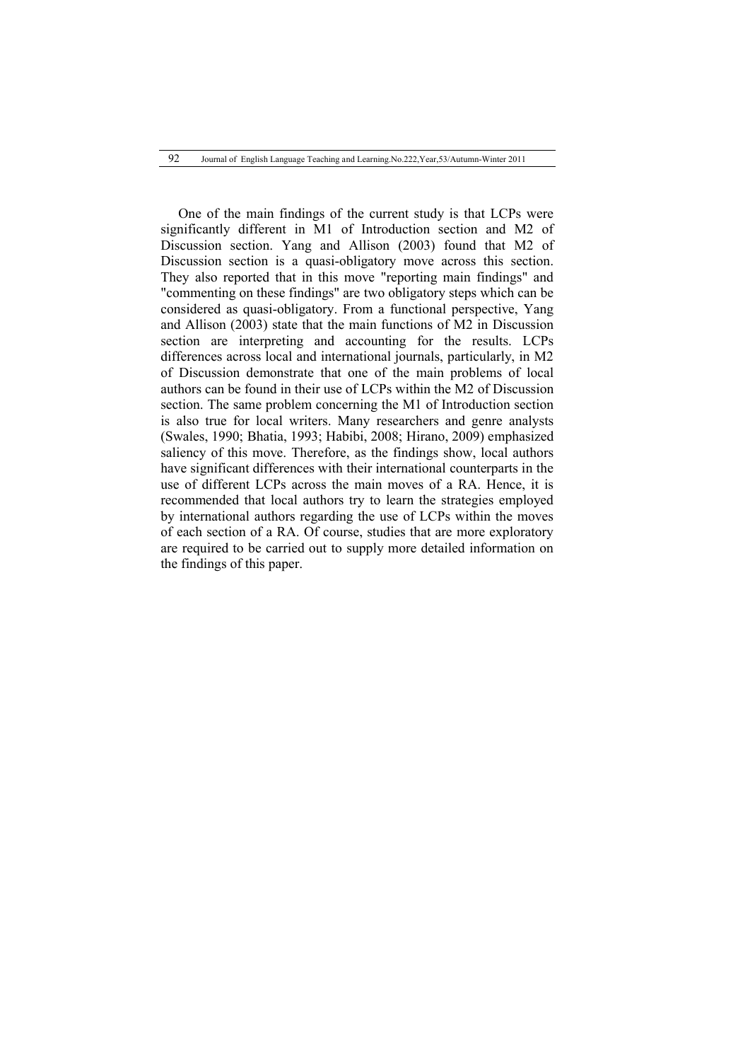One of the main findings of the current study is that LCPs were significantly different in M1 of Introduction section and M2 of Discussion section. Yang and Allison (2003) found that M2 of Discussion section is a quasi-obligatory move across this section. They also reported that in this move "reporting main findings" and "commenting on these findings" are two obligatory steps which can be considered as quasi-obligatory. From a functional perspective, Yang and Allison (2003) state that the main functions of M2 in Discussion section are interpreting and accounting for the results. LCPs differences across local and international journals, particularly, in M2 of Discussion demonstrate that one of the main problems of local authors can be found in their use of LCPs within the M2 of Discussion section. The same problem concerning the M1 of Introduction section is also true for local writers. Many researchers and genre analysts (Swales, 1990; Bhatia, 1993; Habibi, 2008; Hirano, 2009) emphasized saliency of this move. Therefore, as the findings show, local authors have significant differences with their international counterparts in the use of different LCPs across the main moves of a RA. Hence, it is recommended that local authors try to learn the strategies employed by international authors regarding the use of LCPs within the moves of each section of a RA. Of course, studies that are more exploratory are required to be carried out to supply more detailed information on the findings of this paper.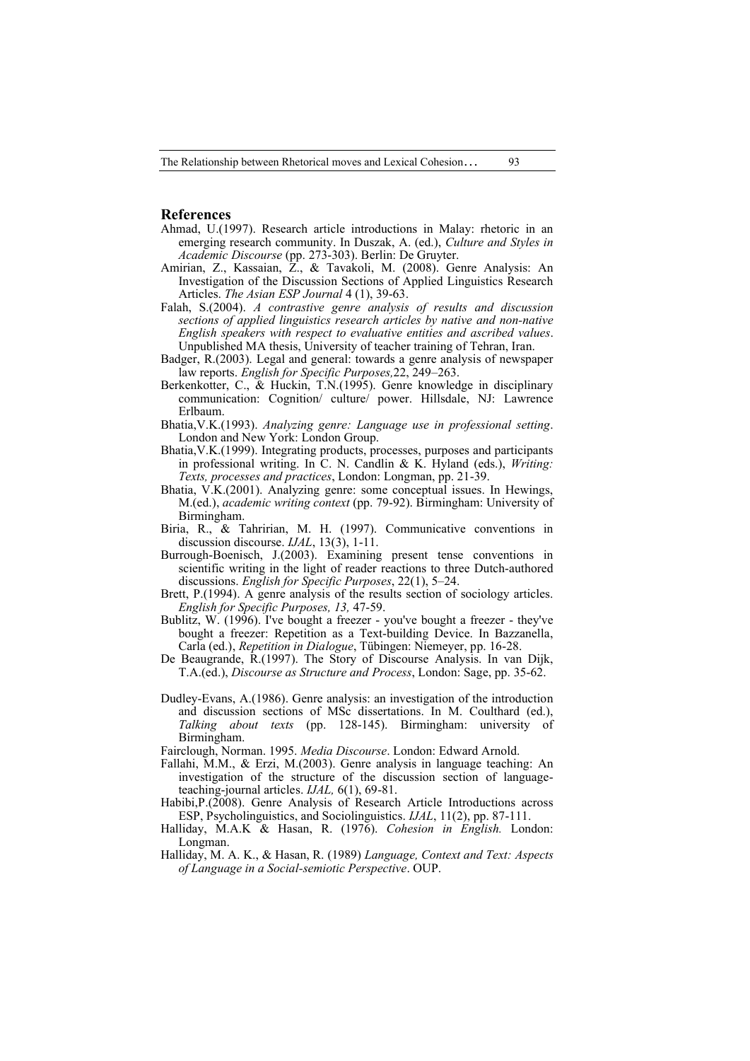The Relationship between Rhetorical moves and Lexical Cohesion… 93

#### **References**

- Ahmad, U.(1997). Research article introductions in Malay: rhetoric in an emerging research community. In Duszak, A. (ed.), *Culture and Styles in Academic Discourse* (pp. 273-303). Berlin: De Gruyter.
- Amirian, Z., Kassaian, Z., & Tavakoli, M. (2008). Genre Analysis: An Investigation of the Discussion Sections of Applied Linguistics Research Articles. *The Asian ESP Journal* 4 (1), 39-63.
- Falah, S.(2004). *A contrastive genre analysis of results and discussion sections of applied linguistics research articles by native and non-native English speakers with respect to evaluative entities and ascribed values*. Unpublished MA thesis, University of teacher training of Tehran, Iran.
- Badger, R.(2003). Legal and general: towards a genre analysis of newspaper law reports. *English for Specific Purposes,*22, 249–263.
- Berkenkotter, C., & Huckin, T.N.(1995). Genre knowledge in disciplinary communication: Cognition/ culture/ power. Hillsdale, NJ: Lawrence Erlbaum.
- Bhatia,V.K.(1993). *Analyzing genre: Language use in professional setting*. London and New York: London Group.
- Bhatia,V.K.(1999). Integrating products, processes, purposes and participants in professional writing. In C. N. Candlin & K. Hyland (eds.), *Writing: Texts, processes and practices*, London: Longman, pp. 21-39.
- Bhatia, V.K.(2001). Analyzing genre: some conceptual issues. In Hewings, M.(ed.), *academic writing context* (pp. 79-92). Birmingham: University of Birmingham.
- Biria, R., & Tahririan, M. H. (1997). Communicative conventions in discussion discourse. *IJAL*, 13(3), 1-11.
- Burrough-Boenisch, J.(2003). Examining present tense conventions in scientific writing in the light of reader reactions to three Dutch-authored discussions. *English for Specific Purposes*, 22(1), 5–24.
- Brett, P.(1994). A genre analysis of the results section of sociology articles. *English for Specific Purposes, 13,* 47-59.
- Bublitz, W. (1996). I've bought a freezer you've bought a freezer they've bought a freezer: Repetition as a Text-building Device. In Bazzanella, Carla (ed.), *Repetition in Dialogue*, Tübingen: Niemeyer, pp. 16-28.
- De Beaugrande, R.(1997). The Story of Discourse Analysis. In van Dijk, T.A.(ed.), *Discourse as Structure and Process*, London: Sage, pp. 35-62.
- Dudley-Evans, A.(1986). Genre analysis: an investigation of the introduction and discussion sections of MSc dissertations. In M. Coulthard (ed.), *Talking about texts* (pp. 128-145). Birmingham: university of Birmingham.
- Fairclough, Norman. 1995. *Media Discourse*. London: Edward Arnold.
- Fallahi, M.M., & Erzi, M.(2003). Genre analysis in language teaching: An investigation of the structure of the discussion section of languageteaching-journal articles. *IJAL,* 6(1), 69-81.
- Habibi,P.(2008). Genre Analysis of Research Article Introductions across ESP, Psycholinguistics, and Sociolinguistics. *IJAL*, 11(2), pp. 87-111.
- Halliday, M.A.K & Hasan, R. (1976). *Cohesion in English.* London: Longman.
- Halliday, M. A. K., & Hasan, R. (1989) *Language, Context and Text: Aspects of Language in a Social-semiotic Perspective*. OUP.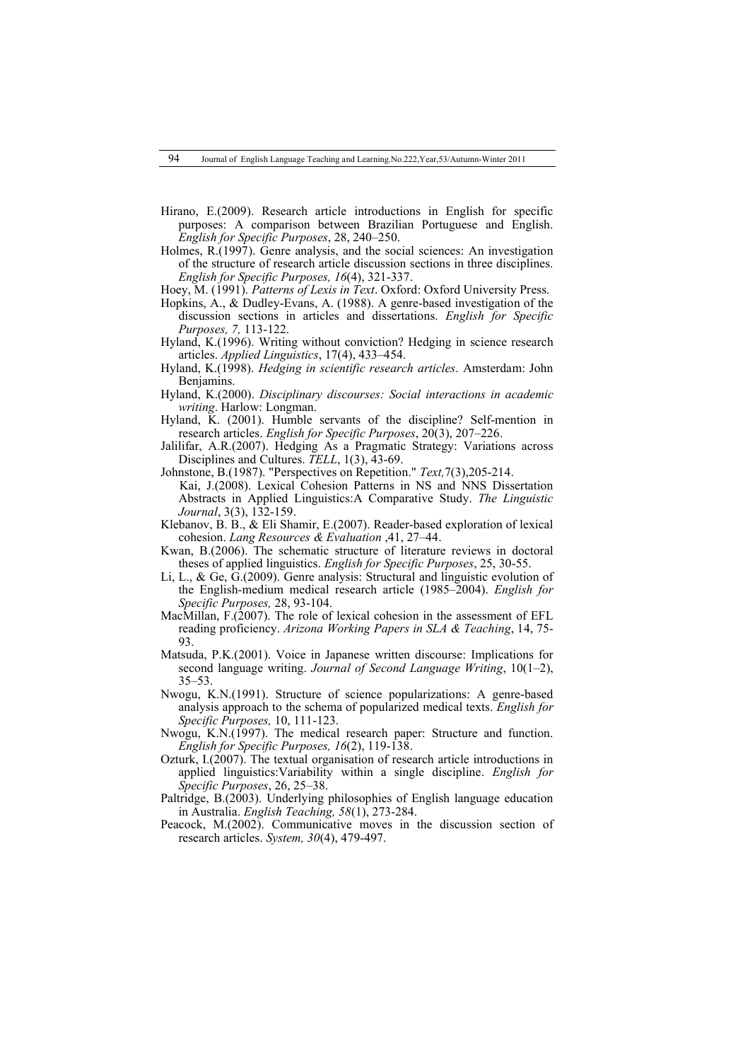- Hirano, E.(2009). Research article introductions in English for specific purposes: A comparison between Brazilian Portuguese and English. *English for Specific Purposes*, 28, 240–250.
- Holmes, R.(1997). Genre analysis, and the social sciences: An investigation of the structure of research article discussion sections in three disciplines. *English for Specific Purposes, 16*(4), 321-337.
- Hoey, M. (1991). *Patterns of Lexis in Text*. Oxford: Oxford University Press.
- Hopkins, A., & Dudley-Evans, A. (1988). A genre-based investigation of the discussion sections in articles and dissertations. *English for Specific Purposes, 7,* 113-122.
- Hyland, K.(1996). Writing without conviction? Hedging in science research articles. *Applied Linguistics*, 17(4), 433–454.
- Hyland, K.(1998). *Hedging in scientific research articles*. Amsterdam: John Benjamins.
- Hyland, K.(2000). *Disciplinary discourses: Social interactions in academic writing*. Harlow: Longman.
- Hyland, K. (2001). Humble servants of the discipline? Self-mention in research articles. *English for Specific Purposes*, 20(3), 207–226.
- Jalilifar, A.R.(2007). Hedging As a Pragmatic Strategy: Variations across Disciplines and Cultures. *TELL*, 1(3), 43-69.
- Johnstone, B.(1987). "Perspectives on Repetition." *Text,*7(3),205-214. Kai, J.(2008). Lexical Cohesion Patterns in NS and NNS Dissertation Abstracts in Applied Linguistics:A Comparative Study. *The Linguistic Journal*, 3(3), 132-159.
- Klebanov, B. B., & Eli Shamir, E.(2007). Reader-based exploration of lexical cohesion. *Lang Resources & Evaluation* ,41, 27–44.
- Kwan, B.(2006). The schematic structure of literature reviews in doctoral theses of applied linguistics. *English for Specific Purposes*, 25, 30-55.
- Li, L., & Ge, G.(2009). Genre analysis: Structural and linguistic evolution of the English-medium medical research article (1985–2004). *English for Specific Purposes,* 28, 93-104.
- MacMillan, F.(2007). The role of lexical cohesion in the assessment of EFL reading proficiency. *Arizona Working Papers in SLA & Teaching*, 14, 75- 93.
- Matsuda, P.K.(2001). Voice in Japanese written discourse: Implications for second language writing. *Journal of Second Language Writing*, 10(1–2), 35–53.
- Nwogu, K.N.(1991). Structure of science popularizations: A genre-based analysis approach to the schema of popularized medical texts. *English for Specific Purposes,* 10, 111-123.
- Nwogu, K.N.(1997). The medical research paper: Structure and function. *English for Specific Purposes, 16*(2), 119-138.
- Ozturk, I.(2007). The textual organisation of research article introductions in applied linguistics:Variability within a single discipline. *English for Specific Purposes*, 26, 25–38.
- Paltridge, B.(2003). Underlying philosophies of English language education in Australia. *English Teaching, 58*(1), 273-284.
- Peacock, M.(2002). Communicative moves in the discussion section of research articles. *System, 30*(4), 479-497.